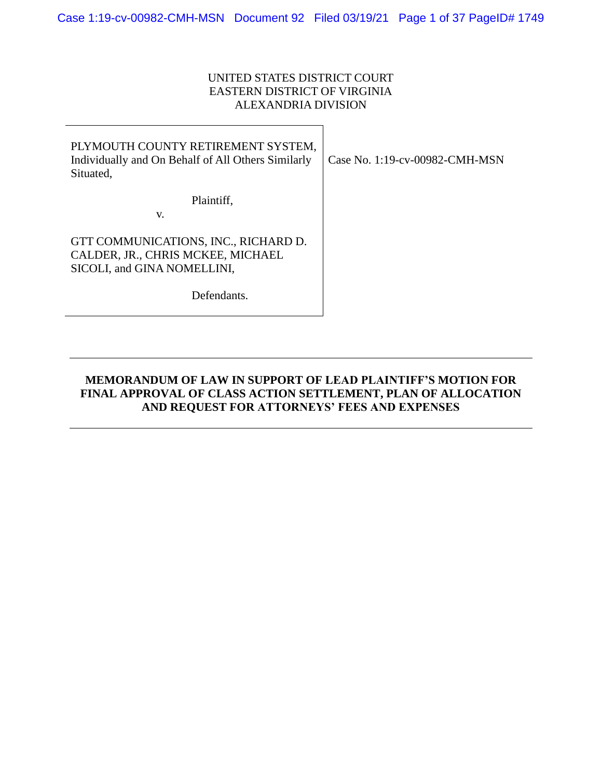## UNITED STATES DISTRICT COURT EASTERN DISTRICT OF VIRGINIA ALEXANDRIA DIVISION

| PLYMOUTH COUNTY RETIREMENT SYSTEM,<br>Individually and On Behalf of All Others Similarly<br>Situated,    | Case No. 1:19-cv-00982-CMH-MSN |
|----------------------------------------------------------------------------------------------------------|--------------------------------|
| Plaintiff,<br>V.                                                                                         |                                |
| GTT COMMUNICATIONS, INC., RICHARD D.<br>CALDER, JR., CHRIS MCKEE, MICHAEL<br>SICOLI, and GINA NOMELLINI, |                                |
| Defendants                                                                                               |                                |

## **MEMORANDUM OF LAW IN SUPPORT OF LEAD PLAINTIFF'S MOTION FOR FINAL APPROVAL OF CLASS ACTION SETTLEMENT, PLAN OF ALLOCATION AND REQUEST FOR ATTORNEYS' FEES AND EXPENSES**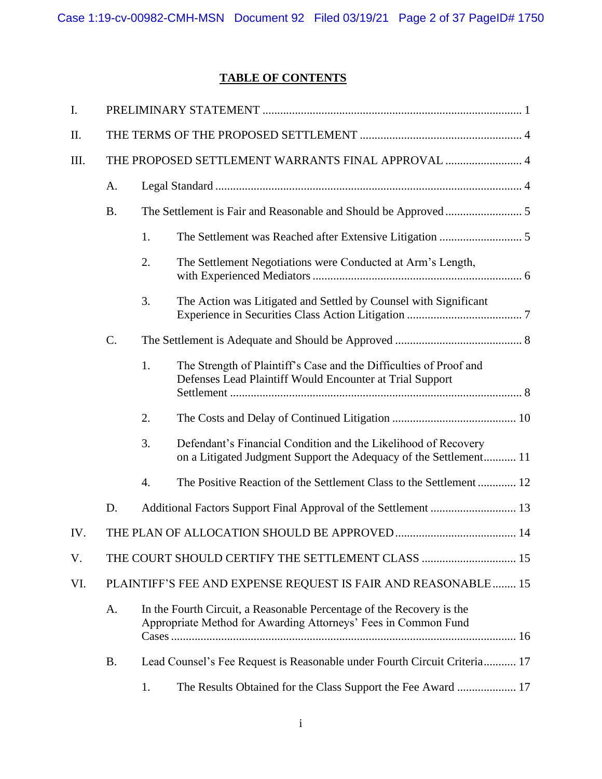# **TABLE OF CONTENTS**

| I.   |                                                                                                                                               |                                                    |                                                                                                                                     |  |
|------|-----------------------------------------------------------------------------------------------------------------------------------------------|----------------------------------------------------|-------------------------------------------------------------------------------------------------------------------------------------|--|
| Π.   |                                                                                                                                               |                                                    |                                                                                                                                     |  |
| III. |                                                                                                                                               | THE PROPOSED SETTLEMENT WARRANTS FINAL APPROVAL  4 |                                                                                                                                     |  |
|      | A.                                                                                                                                            |                                                    |                                                                                                                                     |  |
|      | <b>B.</b>                                                                                                                                     |                                                    |                                                                                                                                     |  |
|      |                                                                                                                                               | 1.                                                 |                                                                                                                                     |  |
|      |                                                                                                                                               | 2.                                                 | The Settlement Negotiations were Conducted at Arm's Length,                                                                         |  |
|      |                                                                                                                                               | 3.                                                 | The Action was Litigated and Settled by Counsel with Significant                                                                    |  |
|      | C.                                                                                                                                            |                                                    |                                                                                                                                     |  |
|      |                                                                                                                                               | 1.                                                 | The Strength of Plaintiff's Case and the Difficulties of Proof and<br>Defenses Lead Plaintiff Would Encounter at Trial Support      |  |
|      |                                                                                                                                               | 2.                                                 |                                                                                                                                     |  |
|      |                                                                                                                                               | 3.                                                 | Defendant's Financial Condition and the Likelihood of Recovery<br>on a Litigated Judgment Support the Adequacy of the Settlement 11 |  |
|      |                                                                                                                                               | 4.                                                 | The Positive Reaction of the Settlement Class to the Settlement 12                                                                  |  |
|      | D.                                                                                                                                            |                                                    |                                                                                                                                     |  |
| IV.  |                                                                                                                                               |                                                    |                                                                                                                                     |  |
| V.   | THE COURT SHOULD CERTIFY THE SETTLEMENT CLASS  15                                                                                             |                                                    |                                                                                                                                     |  |
| VI.  |                                                                                                                                               |                                                    | PLAINTIFF'S FEE AND EXPENSE REQUEST IS FAIR AND REASONABLE 15                                                                       |  |
|      | A.<br>In the Fourth Circuit, a Reasonable Percentage of the Recovery is the<br>Appropriate Method for Awarding Attorneys' Fees in Common Fund |                                                    |                                                                                                                                     |  |
|      | <b>B.</b>                                                                                                                                     |                                                    | Lead Counsel's Fee Request is Reasonable under Fourth Circuit Criteria 17                                                           |  |
|      |                                                                                                                                               | 1.                                                 | The Results Obtained for the Class Support the Fee Award  17                                                                        |  |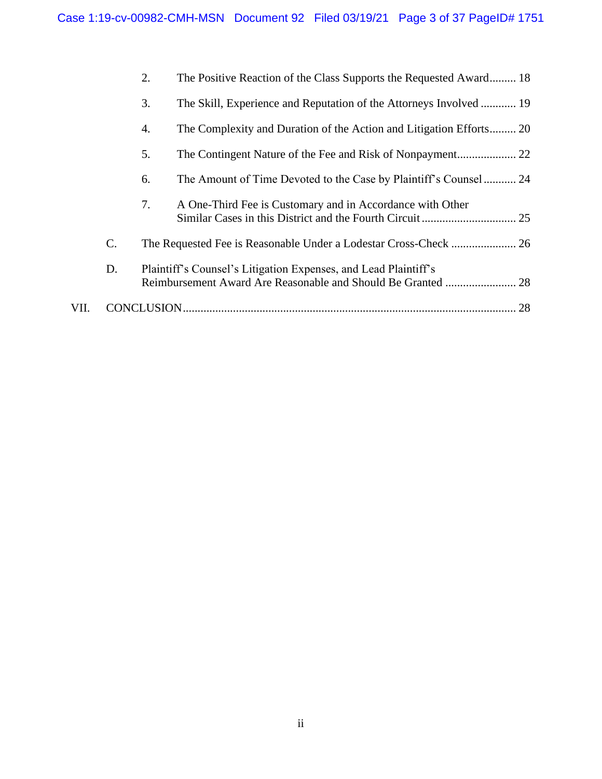|      |    | 2. | The Positive Reaction of the Class Supports the Requested Award 18  |    |
|------|----|----|---------------------------------------------------------------------|----|
|      |    | 3. | The Skill, Experience and Reputation of the Attorneys Involved  19  |    |
|      |    | 4. | The Complexity and Duration of the Action and Litigation Efforts 20 |    |
|      |    | 5. |                                                                     |    |
|      |    | 6. | The Amount of Time Devoted to the Case by Plaintiff's Counsel 24    |    |
|      |    | 7. | A One-Third Fee is Customary and in Accordance with Other           |    |
|      | C. |    | The Requested Fee is Reasonable Under a Lodestar Cross-Check  26    |    |
|      | D. |    | Plaintiff's Counsel's Litigation Expenses, and Lead Plaintiff's     |    |
| VII. |    |    |                                                                     | 28 |
|      |    |    |                                                                     |    |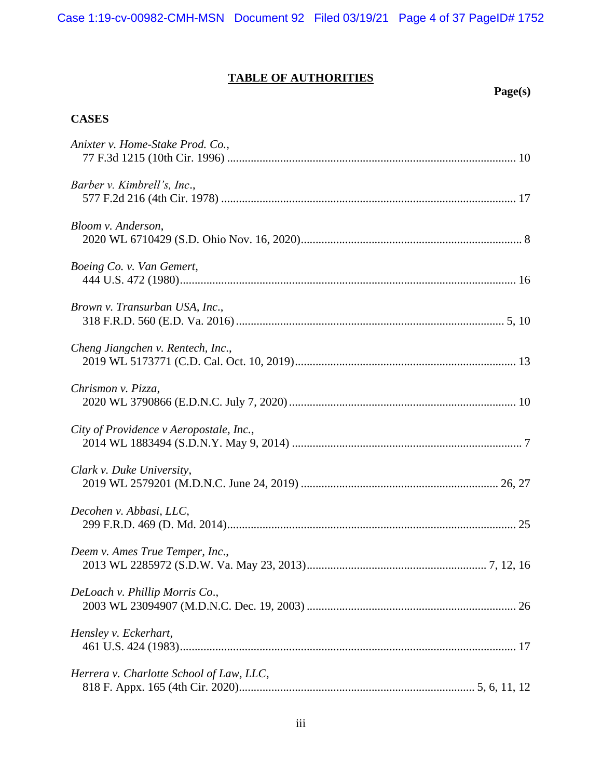# **TABLE OF AUTHORITIES**

## **Page(s)**

## **CASES**

| Anixter v. Home-Stake Prod. Co.,         |
|------------------------------------------|
| Barber v. Kimbrell's, Inc.,              |
| Bloom v. Anderson,                       |
| Boeing Co. v. Van Gemert,                |
| Brown v. Transurban USA, Inc.,           |
| Cheng Jiangchen v. Rentech, Inc.,        |
| Chrismon v. Pizza,                       |
| City of Providence v Aeropostale, Inc.,  |
| Clark v. Duke University,                |
| Decohen v. Abbasi, LLC,                  |
| Deem v. Ames True Temper, Inc.,          |
| DeLoach v. Phillip Morris Co.,           |
| Hensley v. Eckerhart,                    |
| Herrera v. Charlotte School of Law, LLC, |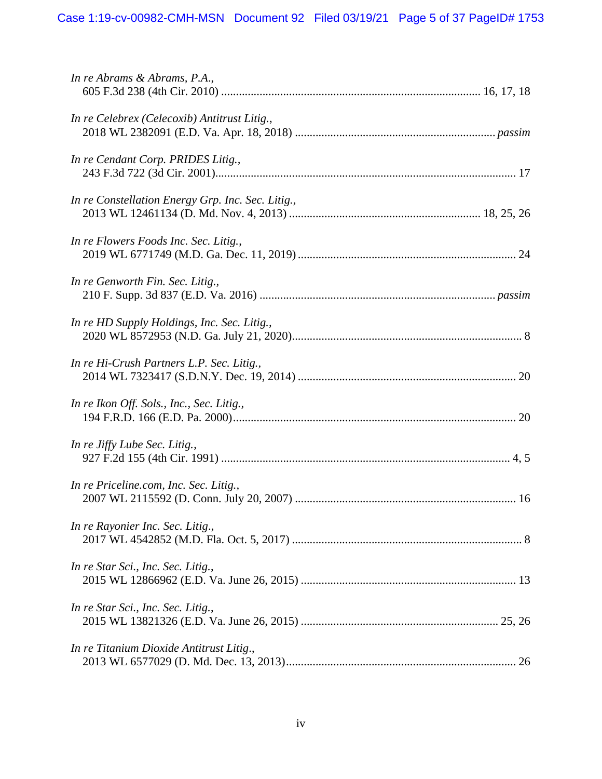| In re Abrams & Abrams, P.A.,                      |
|---------------------------------------------------|
| In re Celebrex (Celecoxib) Antitrust Litig.,      |
| In re Cendant Corp. PRIDES Litig.,                |
| In re Constellation Energy Grp. Inc. Sec. Litig., |
| In re Flowers Foods Inc. Sec. Litig.,             |
| In re Genworth Fin. Sec. Litig.,                  |
| In re HD Supply Holdings, Inc. Sec. Litig.,       |
| In re Hi-Crush Partners L.P. Sec. Litig.,         |
| In re Ikon Off. Sols., Inc., Sec. Litig.,         |
| In re Jiffy Lube Sec. Litig.,                     |
| In re Priceline.com, Inc. Sec. Litig.,            |
| In re Rayonier Inc. Sec. Litig.,                  |
| In re Star Sci., Inc. Sec. Litig.,                |
| In re Star Sci., Inc. Sec. Litig.,                |
| In re Titanium Dioxide Antitrust Litig.,          |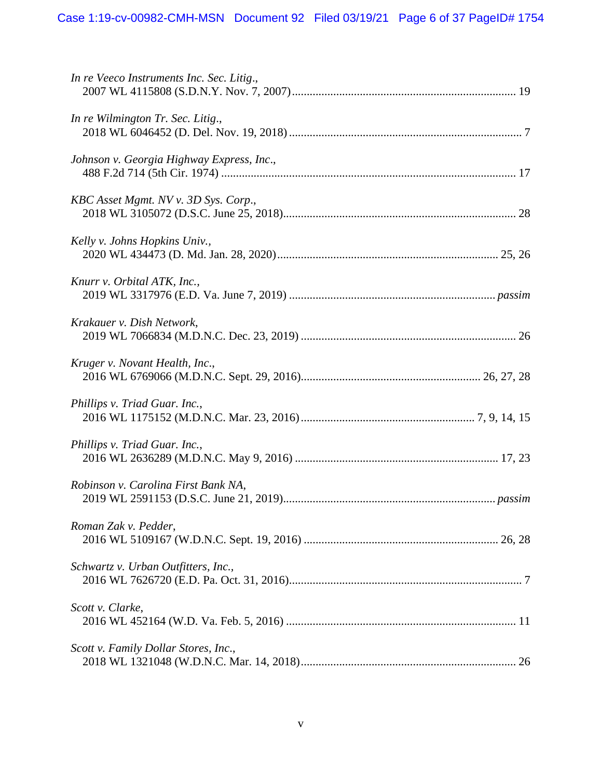| In re Veeco Instruments Inc. Sec. Litig., |
|-------------------------------------------|
| In re Wilmington Tr. Sec. Litig.,         |
| Johnson v. Georgia Highway Express, Inc., |
| KBC Asset Mgmt. NV v. 3D Sys. Corp.,      |
| Kelly v. Johns Hopkins Univ.,             |
| Knurr v. Orbital ATK, Inc.,               |
| Krakauer v. Dish Network,                 |
| Kruger v. Novant Health, Inc.,            |
| Phillips v. Triad Guar. Inc.,             |
| Phillips v. Triad Guar. Inc.,             |
| Robinson v. Carolina First Bank NA,       |
| Roman Zak v. Pedder,                      |
| Schwartz v. Urban Outfitters, Inc.,       |
| Scott v. Clarke,                          |
| Scott v. Family Dollar Stores, Inc.,      |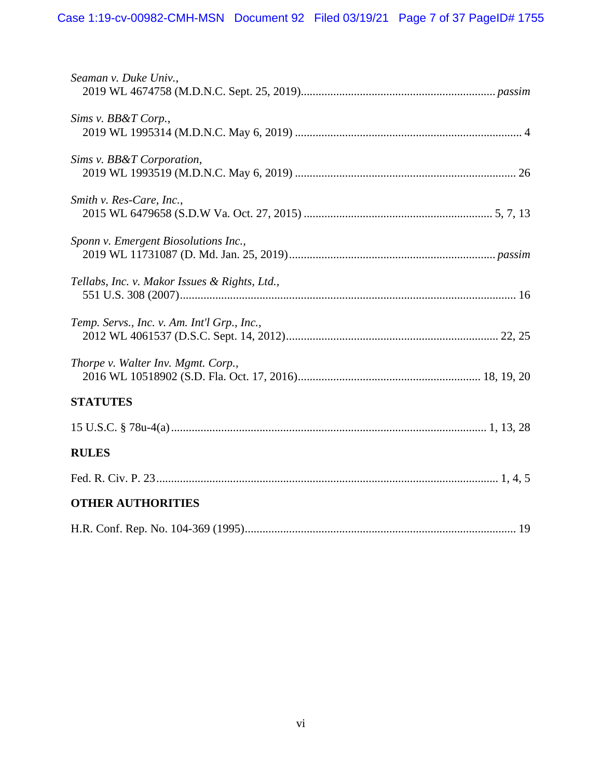| Seaman v. Duke Univ.,                         |
|-----------------------------------------------|
| Sims v. BB&T Corp.,                           |
| Sims v. BB&T Corporation,                     |
| Smith v. Res-Care, Inc.,                      |
| Sponn v. Emergent Biosolutions Inc.,          |
| Tellabs, Inc. v. Makor Issues & Rights, Ltd., |
| Temp. Servs., Inc. v. Am. Int'l Grp., Inc.,   |
| Thorpe v. Walter Inv. Mgmt. Corp.,            |
| <b>STATUTES</b>                               |
|                                               |
| <b>RULES</b>                                  |
|                                               |
| <b>OTHER AUTHORITIES</b>                      |
|                                               |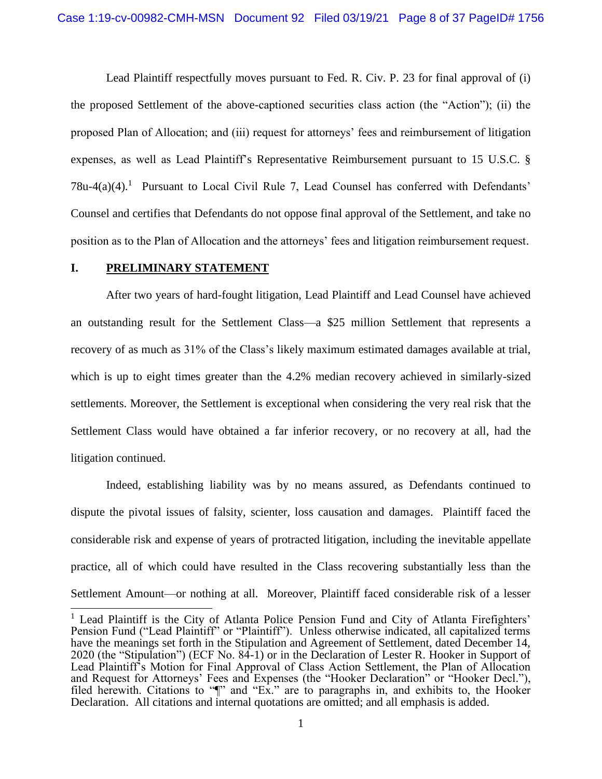Lead Plaintiff respectfully moves pursuant to Fed. R. Civ. P. 23 for final approval of (i) the proposed Settlement of the above-captioned securities class action (the "Action"); (ii) the proposed Plan of Allocation; and (iii) request for attorneys' fees and reimbursement of litigation expenses, as well as Lead Plaintiff's Representative Reimbursement pursuant to 15 U.S.C. §  $78u-4(a)(4)$ .<sup>1</sup> Pursuant to Local Civil Rule 7, Lead Counsel has conferred with Defendants' Counsel and certifies that Defendants do not oppose final approval of the Settlement, and take no position as to the Plan of Allocation and the attorneys' fees and litigation reimbursement request.

#### **I. PRELIMINARY STATEMENT**

After two years of hard-fought litigation, Lead Plaintiff and Lead Counsel have achieved an outstanding result for the Settlement Class—a \$25 million Settlement that represents a recovery of as much as 31% of the Class's likely maximum estimated damages available at trial, which is up to eight times greater than the 4.2% median recovery achieved in similarly-sized settlements. Moreover, the Settlement is exceptional when considering the very real risk that the Settlement Class would have obtained a far inferior recovery, or no recovery at all, had the litigation continued.

Indeed, establishing liability was by no means assured, as Defendants continued to dispute the pivotal issues of falsity, scienter, loss causation and damages. Plaintiff faced the considerable risk and expense of years of protracted litigation, including the inevitable appellate practice, all of which could have resulted in the Class recovering substantially less than the Settlement Amount—or nothing at all. Moreover, Plaintiff faced considerable risk of a lesser

<sup>&</sup>lt;sup>1</sup> Lead Plaintiff is the City of Atlanta Police Pension Fund and City of Atlanta Firefighters' Pension Fund ("Lead Plaintiff" or "Plaintiff"). Unless otherwise indicated, all capitalized terms have the meanings set forth in the Stipulation and Agreement of Settlement, dated December 14, 2020 (the "Stipulation") (ECF No. 84-1) or in the Declaration of Lester R. Hooker in Support of Lead Plaintiff's Motion for Final Approval of Class Action Settlement, the Plan of Allocation and Request for Attorneys' Fees and Expenses (the "Hooker Declaration" or "Hooker Decl."), filed herewith. Citations to "I" and "Ex." are to paragraphs in, and exhibits to, the Hooker Declaration. All citations and internal quotations are omitted; and all emphasis is added.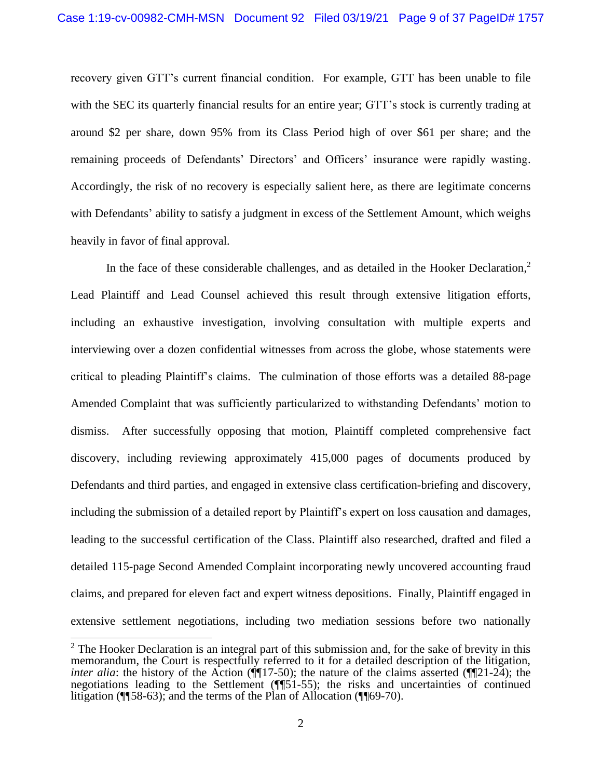recovery given GTT's current financial condition. For example, GTT has been unable to file with the SEC its quarterly financial results for an entire year; GTT's stock is currently trading at around \$2 per share, down 95% from its Class Period high of over \$61 per share; and the remaining proceeds of Defendants' Directors' and Officers' insurance were rapidly wasting. Accordingly, the risk of no recovery is especially salient here, as there are legitimate concerns with Defendants' ability to satisfy a judgment in excess of the Settlement Amount, which weighs heavily in favor of final approval.

In the face of these considerable challenges, and as detailed in the Hooker Declaration,<sup>2</sup> Lead Plaintiff and Lead Counsel achieved this result through extensive litigation efforts, including an exhaustive investigation, involving consultation with multiple experts and interviewing over a dozen confidential witnesses from across the globe, whose statements were critical to pleading Plaintiff's claims. The culmination of those efforts was a detailed 88-page Amended Complaint that was sufficiently particularized to withstanding Defendants' motion to dismiss. After successfully opposing that motion, Plaintiff completed comprehensive fact discovery, including reviewing approximately 415,000 pages of documents produced by Defendants and third parties, and engaged in extensive class certification-briefing and discovery, including the submission of a detailed report by Plaintiff's expert on loss causation and damages, leading to the successful certification of the Class. Plaintiff also researched, drafted and filed a detailed 115-page Second Amended Complaint incorporating newly uncovered accounting fraud claims, and prepared for eleven fact and expert witness depositions. Finally, Plaintiff engaged in extensive settlement negotiations, including two mediation sessions before two nationally

 $2$  The Hooker Declaration is an integral part of this submission and, for the sake of brevity in this memorandum, the Court is respectfully referred to it for a detailed description of the litigation, *inter alia*: the history of the Action ( $\P$ [17-50); the nature of the claims asserted ( $\P$ [21-24); the negotiations leading to the Settlement (¶¶51-55); the risks and uncertainties of continued litigation (¶¶58-63); and the terms of the Plan of Allocation (¶¶69-70).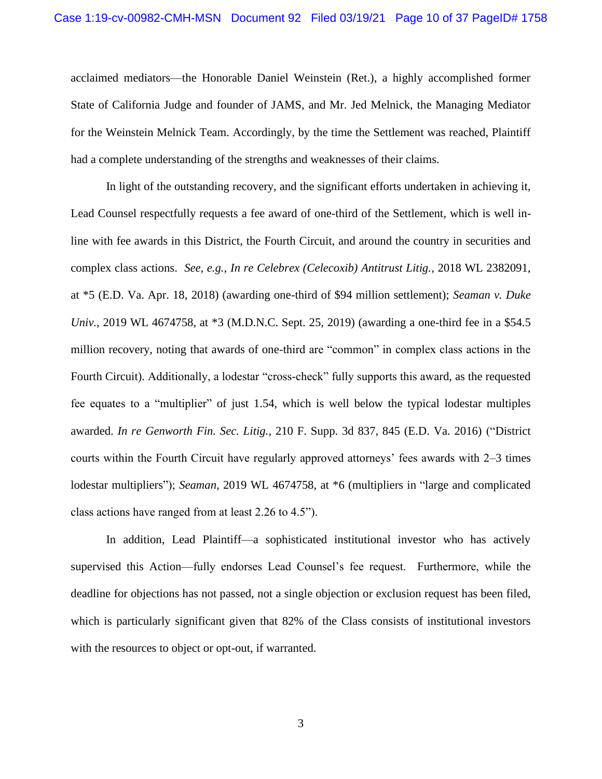acclaimed mediators—the Honorable Daniel Weinstein (Ret.), a highly accomplished former State of California Judge and founder of JAMS, and Mr. Jed Melnick, the Managing Mediator for the Weinstein Melnick Team. Accordingly, by the time the Settlement was reached, Plaintiff had a complete understanding of the strengths and weaknesses of their claims.

In light of the outstanding recovery, and the significant efforts undertaken in achieving it, Lead Counsel respectfully requests a fee award of one-third of the Settlement, which is well inline with fee awards in this District, the Fourth Circuit, and around the country in securities and complex class actions. *See, e.g., In re Celebrex (Celecoxib) Antitrust Litig.*, 2018 WL 2382091, at \*5 (E.D. Va. Apr. 18, 2018) (awarding one-third of \$94 million settlement); *Seaman v. Duke Univ.*, 2019 WL 4674758, at \*3 (M.D.N.C. Sept. 25, 2019) (awarding a one-third fee in a \$54.5 million recovery, noting that awards of one-third are "common" in complex class actions in the Fourth Circuit). Additionally, a lodestar "cross-check" fully supports this award, as the requested fee equates to a "multiplier" of just 1.54, which is well below the typical lodestar multiples awarded. *In re Genworth Fin. Sec. Litig.,* 210 F. Supp. 3d 837, 845 (E.D. Va. 2016) ("District courts within the Fourth Circuit have regularly approved attorneys' fees awards with 2–3 times lodestar multipliers"); *Seaman,* 2019 WL 4674758, at \*6 (multipliers in "large and complicated class actions have ranged from at least 2.26 to 4.5").

In addition, Lead Plaintiff—a sophisticated institutional investor who has actively supervised this Action—fully endorses Lead Counsel's fee request. Furthermore, while the deadline for objections has not passed, not a single objection or exclusion request has been filed, which is particularly significant given that 82% of the Class consists of institutional investors with the resources to object or opt-out, if warranted.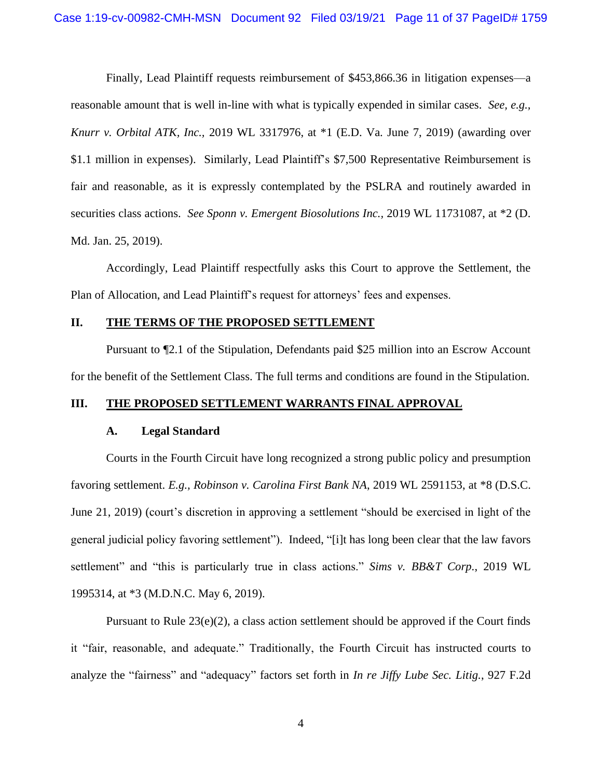Finally, Lead Plaintiff requests reimbursement of \$453,866.36 in litigation expenses—a reasonable amount that is well in-line with what is typically expended in similar cases. *See, e.g., Knurr v. Orbital ATK, Inc.,* 2019 WL 3317976, at \*1 (E.D. Va. June 7, 2019) (awarding over \$1.1 million in expenses). Similarly, Lead Plaintiff's \$7,500 Representative Reimbursement is fair and reasonable, as it is expressly contemplated by the PSLRA and routinely awarded in securities class actions. *See Sponn v. Emergent Biosolutions Inc.,* 2019 WL 11731087, at \*2 (D. Md. Jan. 25, 2019).

Accordingly, Lead Plaintiff respectfully asks this Court to approve the Settlement, the Plan of Allocation, and Lead Plaintiff's request for attorneys' fees and expenses.

### **II. THE TERMS OF THE PROPOSED SETTLEMENT**

Pursuant to ¶2.1 of the Stipulation, Defendants paid \$25 million into an Escrow Account for the benefit of the Settlement Class. The full terms and conditions are found in the Stipulation.

#### **III. THE PROPOSED SETTLEMENT WARRANTS FINAL APPROVAL**

#### **A. Legal Standard**

Courts in the Fourth Circuit have long recognized a strong public policy and presumption favoring settlement. *E.g., Robinson v. Carolina First Bank NA*, 2019 WL 2591153, at \*8 (D.S.C. June 21, 2019) (court's discretion in approving a settlement "should be exercised in light of the general judicial policy favoring settlement"). Indeed, "[i]t has long been clear that the law favors settlement" and "this is particularly true in class actions." *Sims v. BB&T Corp.*, 2019 WL 1995314, at \*3 (M.D.N.C. May 6, 2019).

Pursuant to Rule  $23(e)(2)$ , a class action settlement should be approved if the Court finds it "fair, reasonable, and adequate." Traditionally, the Fourth Circuit has instructed courts to analyze the "fairness" and "adequacy" factors set forth in *In re Jiffy Lube Sec. Litig.*, 927 F.2d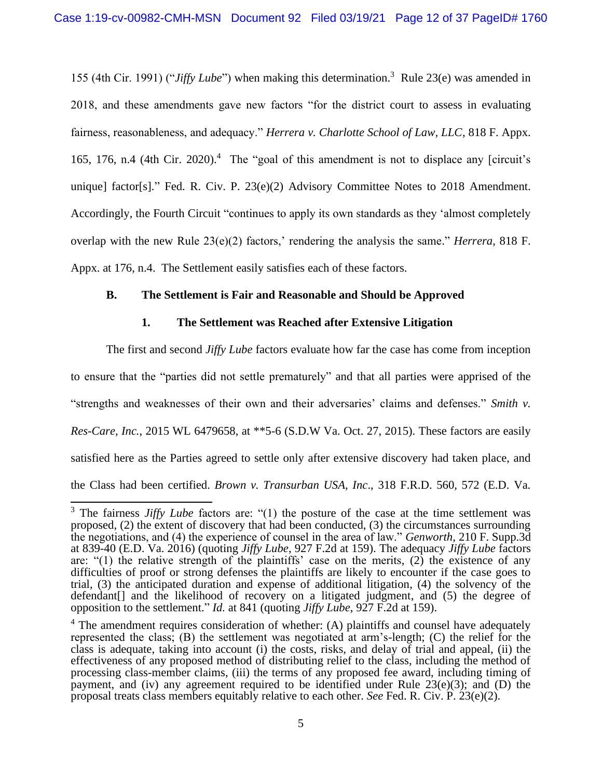155 (4th Cir. 1991) ("*Jiffy Lube*") when making this determination. 3 Rule 23(e) was amended in 2018, and these amendments gave new factors "for the district court to assess in evaluating fairness, reasonableness, and adequacy." *Herrera v. Charlotte School of Law, LLC*, 818 F. Appx. 165, 176, n.4 (4th Cir. 2020). <sup>4</sup> The "goal of this amendment is not to displace any [circuit's unique] factor[s]." Fed. R. Civ. P. 23(e)(2) Advisory Committee Notes to 2018 Amendment. Accordingly, the Fourth Circuit "continues to apply its own standards as they 'almost completely overlap with the new Rule  $23(e)(2)$  factors,' rendering the analysis the same." *Herrera*, 818 F. Appx. at 176, n.4. The Settlement easily satisfies each of these factors.

## **B. The Settlement is Fair and Reasonable and Should be Approved**

### **1. The Settlement was Reached after Extensive Litigation**

The first and second *Jiffy Lube* factors evaluate how far the case has come from inception to ensure that the "parties did not settle prematurely" and that all parties were apprised of the "strengths and weaknesses of their own and their adversaries' claims and defenses." *Smith v. Res-Care, Inc.*, 2015 WL 6479658, at \*\*5-6 (S.D.W Va. Oct. 27, 2015). These factors are easily satisfied here as the Parties agreed to settle only after extensive discovery had taken place, and the Class had been certified. *Brown v. Transurban USA, Inc*., 318 F.R.D. 560, 572 (E.D. Va.

<sup>&</sup>lt;sup>3</sup> The fairness *Jiffy Lube* factors are: "(1) the posture of the case at the time settlement was proposed, (2) the extent of discovery that had been conducted, (3) the circumstances surrounding the negotiations, and (4) the experience of counsel in the area of law." *Genworth*, 210 F. Supp.3d at 839-40 (E.D. Va. 2016) (quoting *Jiffy Lube*, 927 F.2d at 159). The adequacy *Jiffy Lube* factors are: "(1) the relative strength of the plaintiffs' case on the merits,  $(2)$  the existence of any difficulties of proof or strong defenses the plaintiffs are likely to encounter if the case goes to trial, (3) the anticipated duration and expense of additional litigation, (4) the solvency of the defendant[] and the likelihood of recovery on a litigated judgment, and (5) the degree of opposition to the settlement." *Id.* at 841 (quoting *Jiffy Lube*, 927 F.2d at 159).

 $4$  The amendment requires consideration of whether: (A) plaintiffs and counsel have adequately represented the class; (B) the settlement was negotiated at arm's-length; (C) the relief for the class is adequate, taking into account (i) the costs, risks, and delay of trial and appeal, (ii) the effectiveness of any proposed method of distributing relief to the class, including the method of processing class-member claims, (iii) the terms of any proposed fee award, including timing of payment, and (iv) any agreement required to be identified under Rule  $23(e)(3)$ ; and (D) the proposal treats class members equitably relative to each other. *See* Fed. R. Civ. P. 23(e)(2).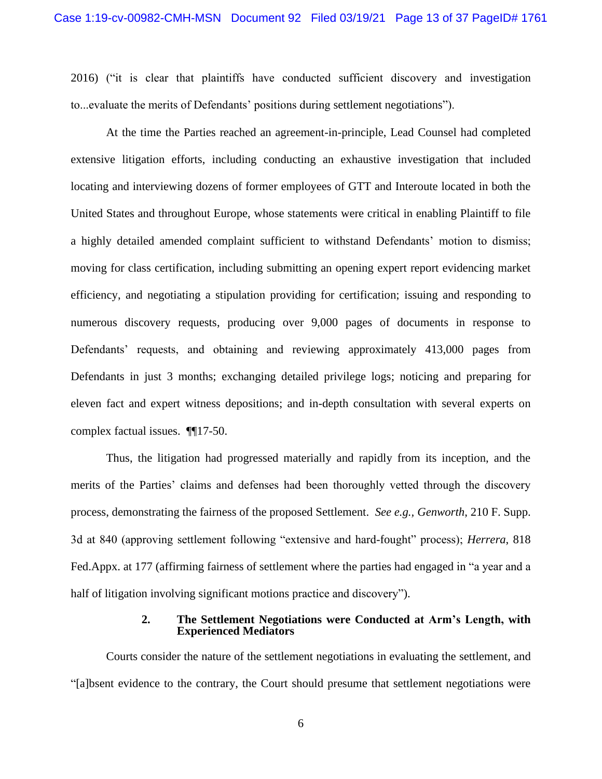2016) ("it is clear that plaintiffs have conducted sufficient discovery and investigation to...evaluate the merits of Defendants' positions during settlement negotiations").

At the time the Parties reached an agreement-in-principle, Lead Counsel had completed extensive litigation efforts, including conducting an exhaustive investigation that included locating and interviewing dozens of former employees of GTT and Interoute located in both the United States and throughout Europe, whose statements were critical in enabling Plaintiff to file a highly detailed amended complaint sufficient to withstand Defendants' motion to dismiss; moving for class certification, including submitting an opening expert report evidencing market efficiency, and negotiating a stipulation providing for certification; issuing and responding to numerous discovery requests, producing over 9,000 pages of documents in response to Defendants' requests, and obtaining and reviewing approximately 413,000 pages from Defendants in just 3 months; exchanging detailed privilege logs; noticing and preparing for eleven fact and expert witness depositions; and in-depth consultation with several experts on complex factual issues. ¶¶17-50.

Thus, the litigation had progressed materially and rapidly from its inception, and the merits of the Parties' claims and defenses had been thoroughly vetted through the discovery process, demonstrating the fairness of the proposed Settlement. *See e.g., Genworth*, 210 F. Supp. 3d at 840 (approving settlement following "extensive and hard-fought" process); *Herrera*, 818 Fed.Appx. at 177 (affirming fairness of settlement where the parties had engaged in "a year and a half of litigation involving significant motions practice and discovery").

#### **2. The Settlement Negotiations were Conducted at Arm's Length, with Experienced Mediators**

Courts consider the nature of the settlement negotiations in evaluating the settlement, and "[a]bsent evidence to the contrary, the Court should presume that settlement negotiations were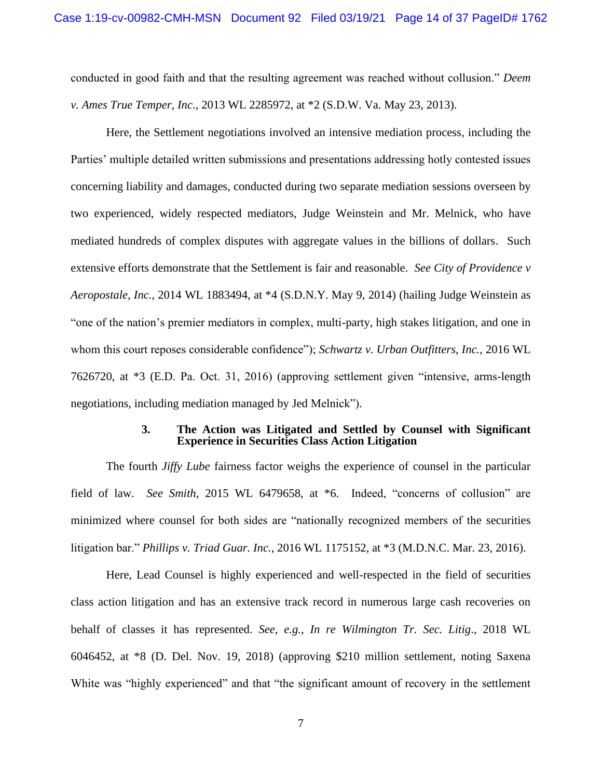conducted in good faith and that the resulting agreement was reached without collusion." *Deem v. Ames True Temper, Inc*., 2013 WL 2285972, at \*2 (S.D.W. Va. May 23, 2013).

Here, the Settlement negotiations involved an intensive mediation process, including the Parties' multiple detailed written submissions and presentations addressing hotly contested issues concerning liability and damages, conducted during two separate mediation sessions overseen by two experienced, widely respected mediators, Judge Weinstein and Mr. Melnick, who have mediated hundreds of complex disputes with aggregate values in the billions of dollars. Such extensive efforts demonstrate that the Settlement is fair and reasonable. *See City of Providence v Aeropostale, Inc.*, 2014 WL 1883494, at \*4 (S.D.N.Y. May 9, 2014) (hailing Judge Weinstein as "one of the nation's premier mediators in complex, multi-party, high stakes litigation, and one in whom this court reposes considerable confidence"); *Schwartz v. Urban Outfitters, Inc.,* 2016 WL 7626720, at \*3 (E.D. Pa. Oct. 31, 2016) (approving settlement given "intensive, arms-length negotiations, including mediation managed by Jed Melnick").

#### **3. The Action was Litigated and Settled by Counsel with Significant Experience in Securities Class Action Litigation**

The fourth *Jiffy Lube* fairness factor weighs the experience of counsel in the particular field of law. *See Smith*, 2015 WL 6479658, at \*6. Indeed, "concerns of collusion" are minimized where counsel for both sides are "nationally recognized members of the securities litigation bar." *Phillips v. Triad Guar. Inc.*, 2016 WL 1175152, at \*3 (M.D.N.C. Mar. 23, 2016).

Here, Lead Counsel is highly experienced and well-respected in the field of securities class action litigation and has an extensive track record in numerous large cash recoveries on behalf of classes it has represented. *See, e.g., In re Wilmington Tr. Sec. Litig*., 2018 WL 6046452, at \*8 (D. Del. Nov. 19, 2018) (approving \$210 million settlement, noting Saxena White was "highly experienced" and that "the significant amount of recovery in the settlement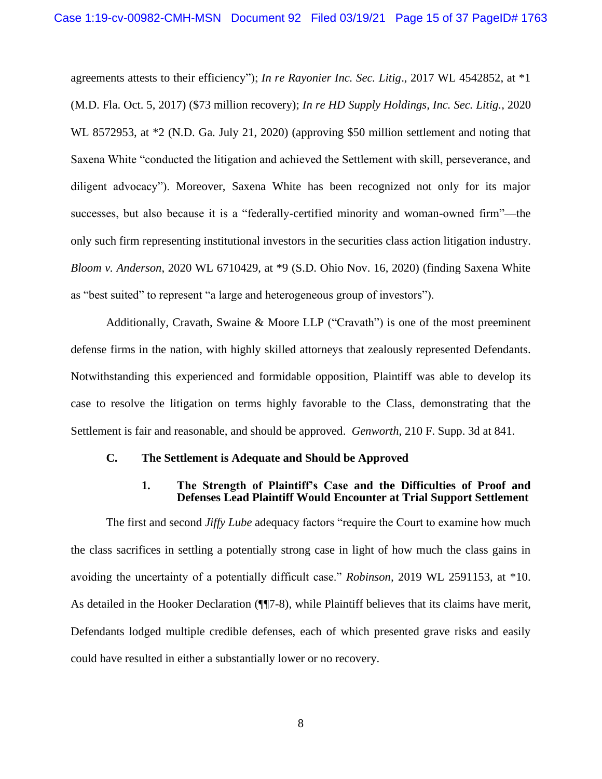agreements attests to their efficiency"); *In re Rayonier Inc. Sec. Litig*., 2017 WL 4542852, at \*1 (M.D. Fla. Oct. 5, 2017) (\$73 million recovery); *In re HD Supply Holdings, Inc. Sec. Litig.,* 2020 WL 8572953, at  $*2$  (N.D. Ga. July 21, 2020) (approving \$50 million settlement and noting that Saxena White "conducted the litigation and achieved the Settlement with skill, perseverance, and diligent advocacy"). Moreover, Saxena White has been recognized not only for its major successes, but also because it is a "federally-certified minority and woman-owned firm"—the only such firm representing institutional investors in the securities class action litigation industry. *Bloom v. Anderson*, 2020 WL 6710429, at \*9 (S.D. Ohio Nov. 16, 2020) (finding Saxena White as "best suited" to represent "a large and heterogeneous group of investors").

Additionally, Cravath, Swaine & Moore LLP ("Cravath") is one of the most preeminent defense firms in the nation, with highly skilled attorneys that zealously represented Defendants. Notwithstanding this experienced and formidable opposition, Plaintiff was able to develop its case to resolve the litigation on terms highly favorable to the Class, demonstrating that the Settlement is fair and reasonable, and should be approved. *Genworth,* 210 F. Supp. 3d at 841.

#### **C. The Settlement is Adequate and Should be Approved**

#### **1. The Strength of Plaintiff's Case and the Difficulties of Proof and Defenses Lead Plaintiff Would Encounter at Trial Support Settlement**

The first and second *Jiffy Lube* adequacy factors "require the Court to examine how much the class sacrifices in settling a potentially strong case in light of how much the class gains in avoiding the uncertainty of a potentially difficult case." *Robinson,* 2019 WL 2591153, at \*10. As detailed in the Hooker Declaration ( $\P$ [7-8), while Plaintiff believes that its claims have merit, Defendants lodged multiple credible defenses, each of which presented grave risks and easily could have resulted in either a substantially lower or no recovery.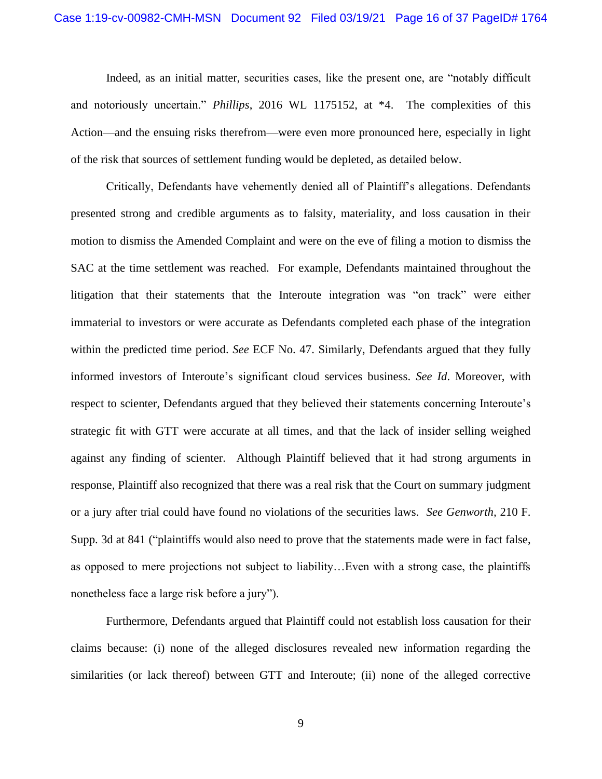Indeed, as an initial matter, securities cases, like the present one, are "notably difficult and notoriously uncertain." *Phillips*, 2016 WL 1175152, at \*4. The complexities of this Action—and the ensuing risks therefrom—were even more pronounced here, especially in light of the risk that sources of settlement funding would be depleted, as detailed below.

Critically, Defendants have vehemently denied all of Plaintiff's allegations. Defendants presented strong and credible arguments as to falsity, materiality, and loss causation in their motion to dismiss the Amended Complaint and were on the eve of filing a motion to dismiss the SAC at the time settlement was reached. For example, Defendants maintained throughout the litigation that their statements that the Interoute integration was "on track" were either immaterial to investors or were accurate as Defendants completed each phase of the integration within the predicted time period. *See* ECF No. 47. Similarly, Defendants argued that they fully informed investors of Interoute's significant cloud services business. *See Id*. Moreover, with respect to scienter, Defendants argued that they believed their statements concerning Interoute's strategic fit with GTT were accurate at all times, and that the lack of insider selling weighed against any finding of scienter. Although Plaintiff believed that it had strong arguments in response, Plaintiff also recognized that there was a real risk that the Court on summary judgment or a jury after trial could have found no violations of the securities laws. *See Genworth,* 210 F. Supp. 3d at 841 ("plaintiffs would also need to prove that the statements made were in fact false, as opposed to mere projections not subject to liability…Even with a strong case, the plaintiffs nonetheless face a large risk before a jury").

Furthermore, Defendants argued that Plaintiff could not establish loss causation for their claims because: (i) none of the alleged disclosures revealed new information regarding the similarities (or lack thereof) between GTT and Interoute; (ii) none of the alleged corrective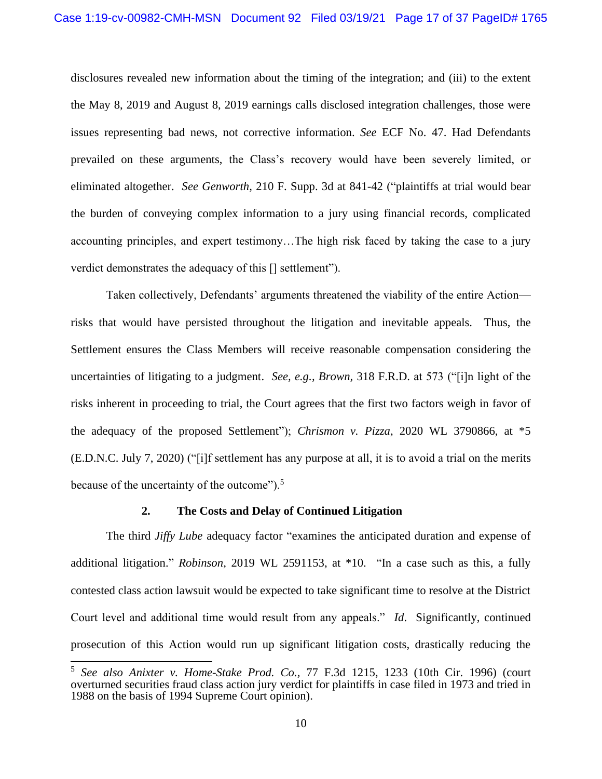disclosures revealed new information about the timing of the integration; and (iii) to the extent the May 8, 2019 and August 8, 2019 earnings calls disclosed integration challenges, those were issues representing bad news, not corrective information. *See* ECF No. 47. Had Defendants prevailed on these arguments, the Class's recovery would have been severely limited, or eliminated altogether. *See Genworth,* 210 F. Supp. 3d at 841-42 ("plaintiffs at trial would bear the burden of conveying complex information to a jury using financial records, complicated accounting principles, and expert testimony…The high risk faced by taking the case to a jury verdict demonstrates the adequacy of this [] settlement").

Taken collectively, Defendants' arguments threatened the viability of the entire Action risks that would have persisted throughout the litigation and inevitable appeals. Thus, the Settlement ensures the Class Members will receive reasonable compensation considering the uncertainties of litigating to a judgment. *See, e.g., Brown,* 318 F.R.D. at 573 ("[i]n light of the risks inherent in proceeding to trial, the Court agrees that the first two factors weigh in favor of the adequacy of the proposed Settlement"); *Chrismon v. Pizza*, 2020 WL 3790866, at \*5 (E.D.N.C. July 7, 2020) ("[i]f settlement has any purpose at all, it is to avoid a trial on the merits because of the uncertainty of the outcome").<sup>5</sup>

#### **2. The Costs and Delay of Continued Litigation**

The third *Jiffy Lube* adequacy factor "examines the anticipated duration and expense of additional litigation." *Robinson*, 2019 WL 2591153, at \*10. "In a case such as this, a fully contested class action lawsuit would be expected to take significant time to resolve at the District Court level and additional time would result from any appeals." *Id*. Significantly, continued prosecution of this Action would run up significant litigation costs, drastically reducing the

<sup>5</sup> *See also Anixter v. Home-Stake Prod. Co.,* 77 F.3d 1215, 1233 (10th Cir. 1996) (court overturned securities fraud class action jury verdict for plaintiffs in case filed in 1973 and tried in 1988 on the basis of 1994 Supreme Court opinion).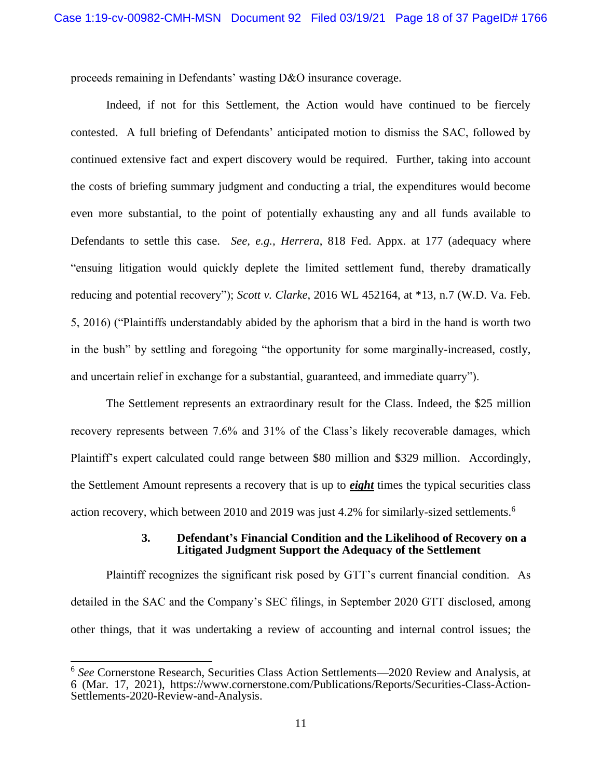proceeds remaining in Defendants' wasting D&O insurance coverage.

Indeed, if not for this Settlement, the Action would have continued to be fiercely contested. A full briefing of Defendants' anticipated motion to dismiss the SAC, followed by continued extensive fact and expert discovery would be required. Further, taking into account the costs of briefing summary judgment and conducting a trial, the expenditures would become even more substantial, to the point of potentially exhausting any and all funds available to Defendants to settle this case. *See, e.g., Herrera*, 818 Fed. Appx. at 177 (adequacy where "ensuing litigation would quickly deplete the limited settlement fund, thereby dramatically reducing and potential recovery"); *Scott v. Clarke*, 2016 WL 452164, at \*13, n.7 (W.D. Va. Feb. 5, 2016) ("Plaintiffs understandably abided by the aphorism that a bird in the hand is worth two in the bush" by settling and foregoing "the opportunity for some marginally-increased, costly, and uncertain relief in exchange for a substantial, guaranteed, and immediate quarry").

The Settlement represents an extraordinary result for the Class. Indeed, the \$25 million recovery represents between 7.6% and 31% of the Class's likely recoverable damages, which Plaintiff's expert calculated could range between \$80 million and \$329 million. Accordingly, the Settlement Amount represents a recovery that is up to *eight* times the typical securities class action recovery, which between 2010 and 2019 was just 4.2% for similarly-sized settlements.<sup>6</sup>

#### **3. Defendant's Financial Condition and the Likelihood of Recovery on a Litigated Judgment Support the Adequacy of the Settlement**

Plaintiff recognizes the significant risk posed by GTT's current financial condition. As detailed in the SAC and the Company's SEC filings, in September 2020 GTT disclosed, among other things, that it was undertaking a review of accounting and internal control issues; the

<sup>6</sup> *See* Cornerstone Research, Securities Class Action Settlements—2020 Review and Analysis, at 6 (Mar. 17, 2021), https://www.cornerstone.com/Publications/Reports/Securities-Class-Action-Settlements-2020-Review-and-Analysis.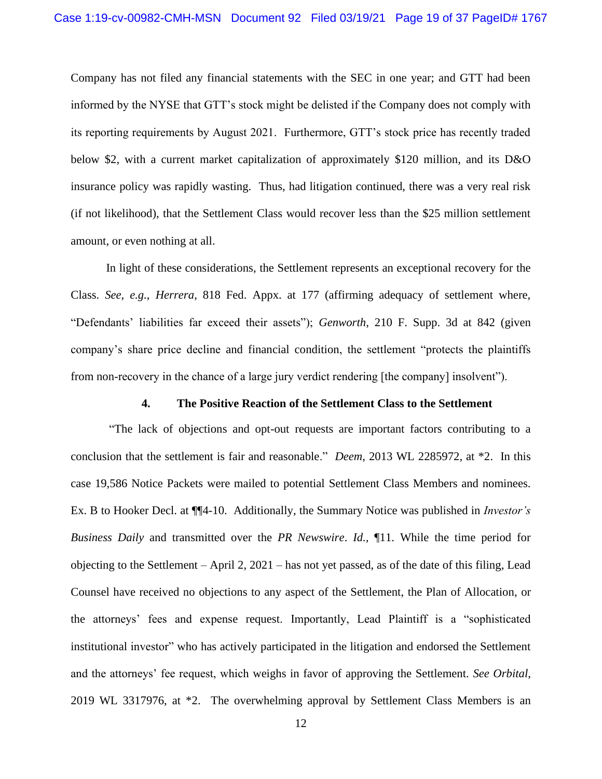Company has not filed any financial statements with the SEC in one year; and GTT had been informed by the NYSE that GTT's stock might be delisted if the Company does not comply with its reporting requirements by August 2021. Furthermore, GTT's stock price has recently traded below \$2, with a current market capitalization of approximately \$120 million, and its D&O insurance policy was rapidly wasting. Thus, had litigation continued, there was a very real risk (if not likelihood), that the Settlement Class would recover less than the \$25 million settlement amount, or even nothing at all.

In light of these considerations, the Settlement represents an exceptional recovery for the Class. *See*, *e.g.*, *Herrera*, 818 Fed. Appx. at 177 (affirming adequacy of settlement where, "Defendants' liabilities far exceed their assets"); *Genworth*, 210 F. Supp. 3d at 842 (given company's share price decline and financial condition, the settlement "protects the plaintiffs from non-recovery in the chance of a large jury verdict rendering [the company] insolvent").

#### **4. The Positive Reaction of the Settlement Class to the Settlement**

"The lack of objections and opt-out requests are important factors contributing to a conclusion that the settlement is fair and reasonable." *Deem*, 2013 WL 2285972, at \*2. In this case 19,586 Notice Packets were mailed to potential Settlement Class Members and nominees. Ex. B to Hooker Decl. at ¶¶4-10. Additionally, the Summary Notice was published in *Investor's Business Daily* and transmitted over the *PR Newswire*. *Id.,* ¶11. While the time period for objecting to the Settlement – April 2, 2021 – has not yet passed, as of the date of this filing, Lead Counsel have received no objections to any aspect of the Settlement, the Plan of Allocation, or the attorneys' fees and expense request. Importantly, Lead Plaintiff is a "sophisticated institutional investor" who has actively participated in the litigation and endorsed the Settlement and the attorneys' fee request, which weighs in favor of approving the Settlement. *See Orbital*, 2019 WL 3317976, at \*2. The overwhelming approval by Settlement Class Members is an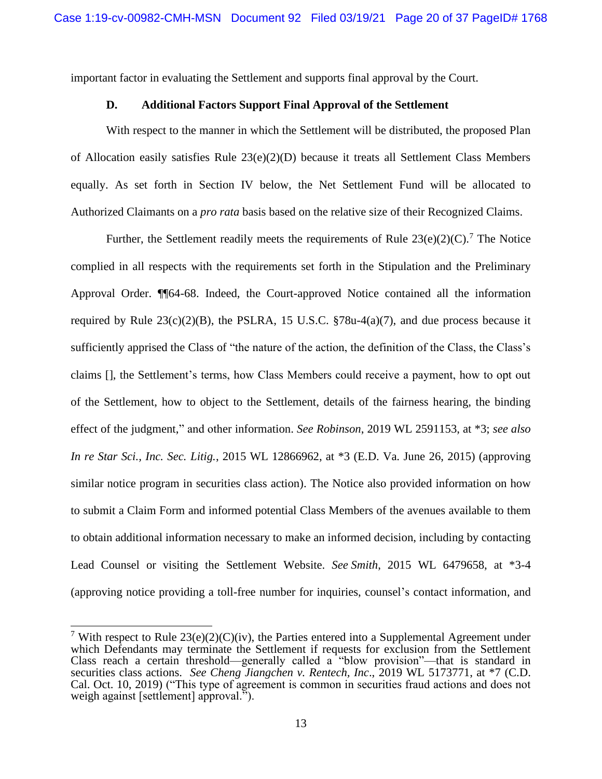important factor in evaluating the Settlement and supports final approval by the Court.

## **D. Additional Factors Support Final Approval of the Settlement**

With respect to the manner in which the Settlement will be distributed, the proposed Plan of Allocation easily satisfies Rule 23(e)(2)(D) because it treats all Settlement Class Members equally. As set forth in Section IV below, the Net Settlement Fund will be allocated to Authorized Claimants on a *pro rata* basis based on the relative size of their Recognized Claims.

Further, the Settlement readily meets the requirements of Rule  $23(e)(2)(C)$ .<sup>7</sup> The Notice complied in all respects with the requirements set forth in the Stipulation and the Preliminary Approval Order. ¶¶64-68. Indeed, the Court-approved Notice contained all the information required by Rule  $23(c)(2)(B)$ , the PSLRA, 15 U.S.C.  $\S 78u-4(a)(7)$ , and due process because it sufficiently apprised the Class of "the nature of the action, the definition of the Class, the Class's claims [], the Settlement's terms, how Class Members could receive a payment, how to opt out of the Settlement, how to object to the Settlement, details of the fairness hearing, the binding effect of the judgment," and other information. *See Robinson*, 2019 WL 2591153, at \*3; *see also In re Star Sci., Inc. Sec. Litig.*, 2015 WL 12866962, at \*3 (E.D. Va. June 26, 2015) (approving similar notice program in securities class action). The Notice also provided information on how to submit a Claim Form and informed potential Class Members of the avenues available to them to obtain additional information necessary to make an informed decision, including by contacting Lead Counsel or visiting the Settlement Website. *See Smith*, 2015 WL 6479658, at \*3-4 (approving notice providing a toll-free number for inquiries, counsel's contact information, and

<sup>&</sup>lt;sup>7</sup> With respect to Rule  $23(e)(2)(C)(iv)$ , the Parties entered into a Supplemental Agreement under which Defendants may terminate the Settlement if requests for exclusion from the Settlement Class reach a certain threshold—generally called a "blow provision"—that is standard in securities class actions. *See Cheng Jiangchen v. Rentech, Inc*., 2019 WL 5173771, at \*7 (C.D. Cal. Oct. 10, 2019) ("This type of agreement is common in securities fraud actions and does not weigh against [settlement] approval.").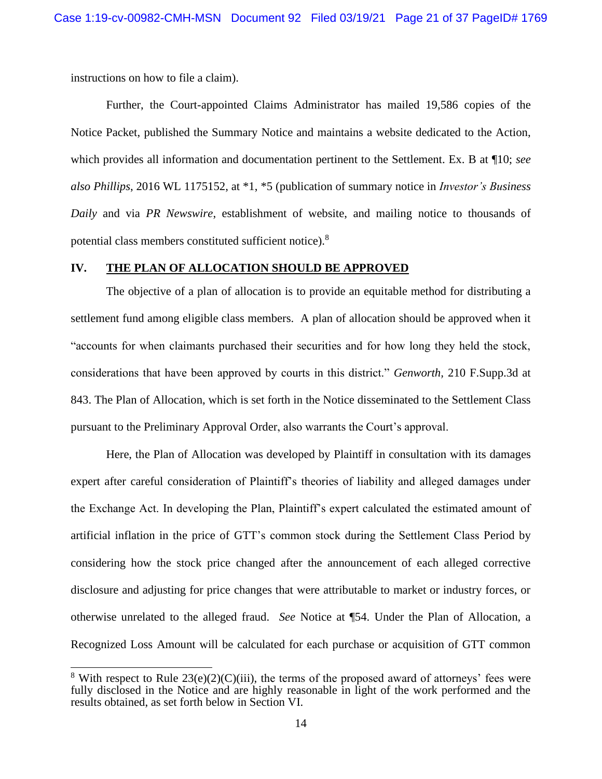instructions on how to file a claim).

Further, the Court-appointed Claims Administrator has mailed 19,586 copies of the Notice Packet, published the Summary Notice and maintains a website dedicated to the Action, which provides all information and documentation pertinent to the Settlement. Ex. B at ¶10; *see also Phillips*, 2016 WL 1175152, at \*1, \*5 (publication of summary notice in *Investor's Business Daily* and via *PR Newswire*, establishment of website, and mailing notice to thousands of potential class members constituted sufficient notice).<sup>8</sup>

#### **IV. THE PLAN OF ALLOCATION SHOULD BE APPROVED**

The objective of a plan of allocation is to provide an equitable method for distributing a settlement fund among eligible class members. A plan of allocation should be approved when it "accounts for when claimants purchased their securities and for how long they held the stock, considerations that have been approved by courts in this district." *Genworth,* 210 F.Supp.3d at 843. The Plan of Allocation, which is set forth in the Notice disseminated to the Settlement Class pursuant to the Preliminary Approval Order, also warrants the Court's approval.

Here, the Plan of Allocation was developed by Plaintiff in consultation with its damages expert after careful consideration of Plaintiff's theories of liability and alleged damages under the Exchange Act. In developing the Plan, Plaintiff's expert calculated the estimated amount of artificial inflation in the price of GTT's common stock during the Settlement Class Period by considering how the stock price changed after the announcement of each alleged corrective disclosure and adjusting for price changes that were attributable to market or industry forces, or otherwise unrelated to the alleged fraud. *See* Notice at ¶54. Under the Plan of Allocation, a Recognized Loss Amount will be calculated for each purchase or acquisition of GTT common

<sup>&</sup>lt;sup>8</sup> With respect to Rule  $23(e)(2)(C)(iii)$ , the terms of the proposed award of attorneys' fees were fully disclosed in the Notice and are highly reasonable in light of the work performed and the results obtained, as set forth below in Section VI.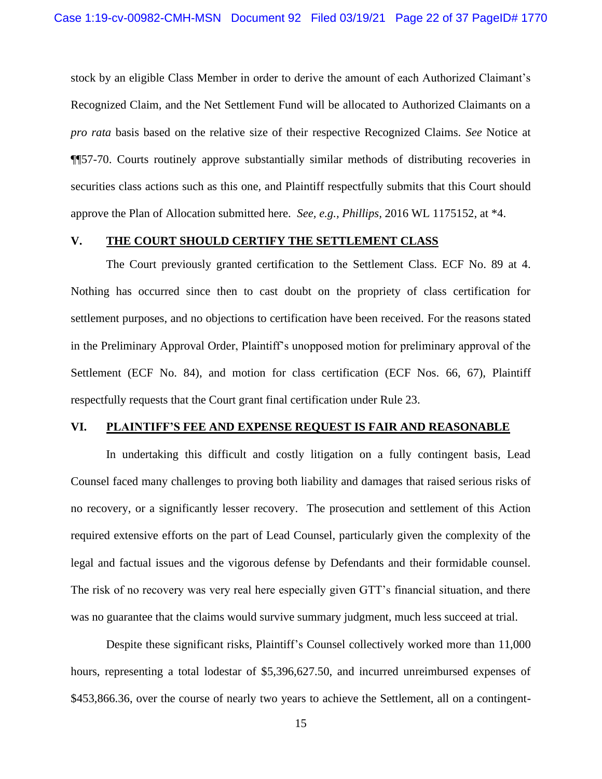stock by an eligible Class Member in order to derive the amount of each Authorized Claimant's Recognized Claim, and the Net Settlement Fund will be allocated to Authorized Claimants on a *pro rata* basis based on the relative size of their respective Recognized Claims. *See* Notice at ¶¶57-70. Courts routinely approve substantially similar methods of distributing recoveries in securities class actions such as this one, and Plaintiff respectfully submits that this Court should approve the Plan of Allocation submitted here. *See, e.g., Phillips,* 2016 WL 1175152, at \*4.

#### **V. THE COURT SHOULD CERTIFY THE SETTLEMENT CLASS**

The Court previously granted certification to the Settlement Class. ECF No. 89 at 4. Nothing has occurred since then to cast doubt on the propriety of class certification for settlement purposes, and no objections to certification have been received. For the reasons stated in the Preliminary Approval Order, Plaintiff's unopposed motion for preliminary approval of the Settlement (ECF No. 84), and motion for class certification (ECF Nos. 66, 67), Plaintiff respectfully requests that the Court grant final certification under Rule 23.

#### **VI. PLAINTIFF'S FEE AND EXPENSE REQUEST IS FAIR AND REASONABLE**

In undertaking this difficult and costly litigation on a fully contingent basis, Lead Counsel faced many challenges to proving both liability and damages that raised serious risks of no recovery, or a significantly lesser recovery. The prosecution and settlement of this Action required extensive efforts on the part of Lead Counsel, particularly given the complexity of the legal and factual issues and the vigorous defense by Defendants and their formidable counsel. The risk of no recovery was very real here especially given GTT's financial situation, and there was no guarantee that the claims would survive summary judgment, much less succeed at trial.

Despite these significant risks, Plaintiff's Counsel collectively worked more than 11,000 hours, representing a total lodestar of \$5,396,627.50, and incurred unreimbursed expenses of \$453,866.36, over the course of nearly two years to achieve the Settlement, all on a contingent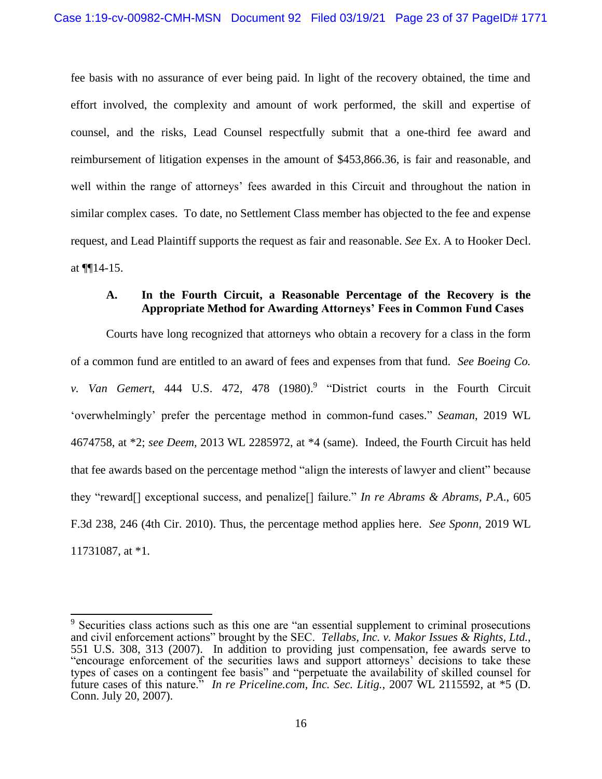fee basis with no assurance of ever being paid. In light of the recovery obtained, the time and effort involved, the complexity and amount of work performed, the skill and expertise of counsel, and the risks, Lead Counsel respectfully submit that a one-third fee award and reimbursement of litigation expenses in the amount of \$453,866.36, is fair and reasonable, and well within the range of attorneys' fees awarded in this Circuit and throughout the nation in similar complex cases. To date, no Settlement Class member has objected to the fee and expense request, and Lead Plaintiff supports the request as fair and reasonable. *See* Ex. A to Hooker Decl. at ¶¶14-15.

## **A. In the Fourth Circuit, a Reasonable Percentage of the Recovery is the Appropriate Method for Awarding Attorneys' Fees in Common Fund Cases**

Courts have long recognized that attorneys who obtain a recovery for a class in the form of a common fund are entitled to an award of fees and expenses from that fund. *See Boeing Co. v. Van Gemert*, 444 U.S. 472, 478 (1980). 9 "District courts in the Fourth Circuit 'overwhelmingly' prefer the percentage method in common-fund cases." *Seaman*, 2019 WL 4674758, at \*2; *see Deem,* 2013 WL 2285972, at \*4 (same). Indeed, the Fourth Circuit has held that fee awards based on the percentage method "align the interests of lawyer and client" because they "reward[] exceptional success, and penalize[] failure." *In re Abrams & Abrams, P.A*., 605 F.3d 238, 246 (4th Cir. 2010). Thus, the percentage method applies here. *See Sponn*, 2019 WL 11731087, at \*1.

<sup>&</sup>lt;sup>9</sup> Securities class actions such as this one are "an essential supplement to criminal prosecutions and civil enforcement actions" brought by the SEC. *Tellabs, Inc. v. Makor Issues & Rights, Ltd.,* 551 U.S. 308, 313 (2007). In addition to providing just compensation, fee awards serve to "encourage enforcement of the securities laws and support attorneys' decisions to take these types of cases on a contingent fee basis" and "perpetuate the availability of skilled counsel for future cases of this nature." *In re Priceline.com, Inc. Sec. Litig.,* 2007 WL 2115592, at \*5 (D. Conn. July 20, 2007).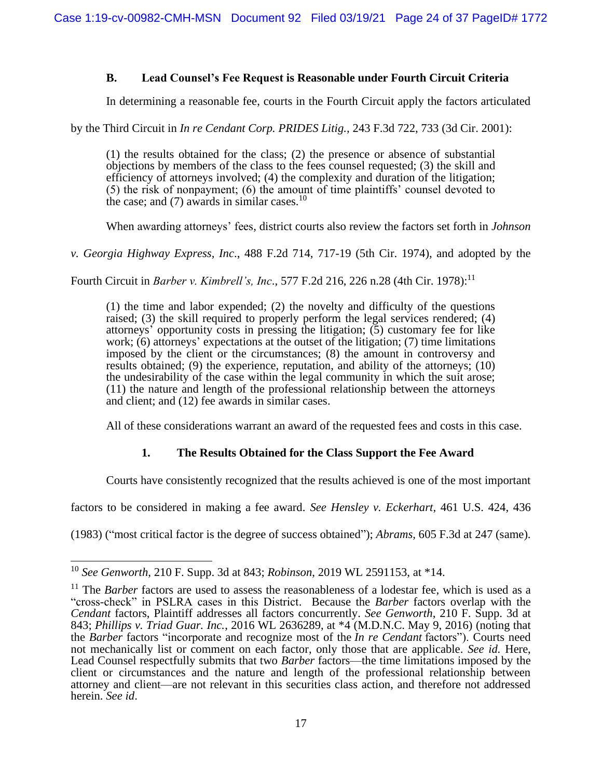## **B. Lead Counsel's Fee Request is Reasonable under Fourth Circuit Criteria**

In determining a reasonable fee, courts in the Fourth Circuit apply the factors articulated

by the Third Circuit in *In re Cendant Corp. PRIDES Litig.,* 243 F.3d 722, 733 (3d Cir. 2001):

(1) the results obtained for the class; (2) the presence or absence of substantial objections by members of the class to the fees counsel requested; (3) the skill and efficiency of attorneys involved; (4) the complexity and duration of the litigation; (5) the risk of nonpayment; (6) the amount of time plaintiffs' counsel devoted to the case; and  $(7)$  awards in similar cases.<sup>10</sup>

When awarding attorneys' fees, district courts also review the factors set forth in *Johnson* 

*v. Georgia Highway Express, Inc*., 488 F.2d 714, 717-19 (5th Cir. 1974), and adopted by the

Fourth Circuit in *Barber v. Kimbrell's, Inc*., 577 F.2d 216, 226 n.28 (4th Cir. 1978): 11

(1) the time and labor expended; (2) the novelty and difficulty of the questions raised; (3) the skill required to properly perform the legal services rendered; (4) attorneys' opportunity costs in pressing the litigation; (5) customary fee for like work; (6) attorneys' expectations at the outset of the litigation; (7) time limitations imposed by the client or the circumstances; (8) the amount in controversy and results obtained; (9) the experience, reputation, and ability of the attorneys; (10) the undesirability of the case within the legal community in which the suit arose; (11) the nature and length of the professional relationship between the attorneys and client; and (12) fee awards in similar cases.

All of these considerations warrant an award of the requested fees and costs in this case.

## **1. The Results Obtained for the Class Support the Fee Award**

Courts have consistently recognized that the results achieved is one of the most important

factors to be considered in making a fee award. *See Hensley v. Eckerhart*, 461 U.S. 424, 436

(1983) ("most critical factor is the degree of success obtained"); *Abrams*, 605 F.3d at 247 (same).

<sup>10</sup> *See Genworth*, 210 F. Supp. 3d at 843; *Robinson*, 2019 WL 2591153, at \*14.

<sup>&</sup>lt;sup>11</sup> The *Barber* factors are used to assess the reasonableness of a lodestar fee, which is used as a "cross-check" in PSLRA cases in this District. Because the *Barber* factors overlap with the *Cendant* factors, Plaintiff addresses all factors concurrently. *See Genworth*, 210 F. Supp. 3d at 843; *Phillips v. Triad Guar. Inc.*, 2016 WL 2636289, at \*4 (M.D.N.C. May 9, 2016) (noting that the *Barber* factors "incorporate and recognize most of the *In re Cendant* factors"). Courts need not mechanically list or comment on each factor, only those that are applicable. *See id.* Here, Lead Counsel respectfully submits that two *Barber* factors—the time limitations imposed by the client or circumstances and the nature and length of the professional relationship between attorney and client—are not relevant in this securities class action, and therefore not addressed herein. *See id*.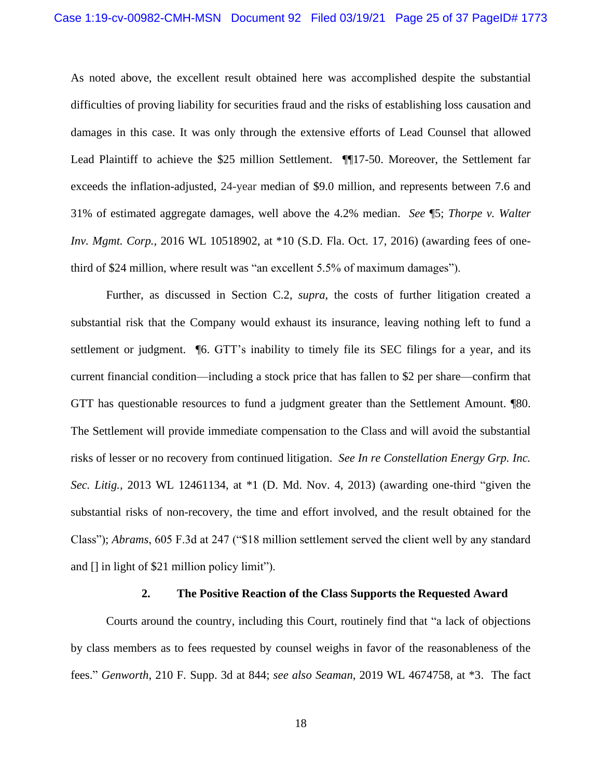As noted above, the excellent result obtained here was accomplished despite the substantial difficulties of proving liability for securities fraud and the risks of establishing loss causation and damages in this case. It was only through the extensive efforts of Lead Counsel that allowed Lead Plaintiff to achieve the \$25 million Settlement. ¶¶17-50. Moreover, the Settlement far exceeds the inflation-adjusted, 24-year median of \$9.0 million, and represents between 7.6 and 31% of estimated aggregate damages, well above the 4.2% median. *See* ¶5; *Thorpe v. Walter Inv. Mgmt. Corp.,* 2016 WL 10518902, at \*10 (S.D. Fla. Oct. 17, 2016) (awarding fees of onethird of \$24 million, where result was "an excellent 5.5% of maximum damages").

Further, as discussed in Section C.2, *supra*, the costs of further litigation created a substantial risk that the Company would exhaust its insurance, leaving nothing left to fund a settlement or judgment. ¶6. GTT's inability to timely file its SEC filings for a year, and its current financial condition—including a stock price that has fallen to \$2 per share—confirm that GTT has questionable resources to fund a judgment greater than the Settlement Amount. ¶80. The Settlement will provide immediate compensation to the Class and will avoid the substantial risks of lesser or no recovery from continued litigation. *See In re Constellation Energy Grp. Inc. Sec. Litig.,* 2013 WL 12461134, at \*1 (D. Md. Nov. 4, 2013) (awarding one-third "given the substantial risks of non-recovery, the time and effort involved, and the result obtained for the Class"); *Abrams*, 605 F.3d at 247 ("\$18 million settlement served the client well by any standard and [] in light of \$21 million policy limit").

#### **2. The Positive Reaction of the Class Supports the Requested Award**

Courts around the country, including this Court, routinely find that "a lack of objections by class members as to fees requested by counsel weighs in favor of the reasonableness of the fees." *Genworth*, 210 F. Supp. 3d at 844; *see also Seaman*, 2019 WL 4674758, at \*3. The fact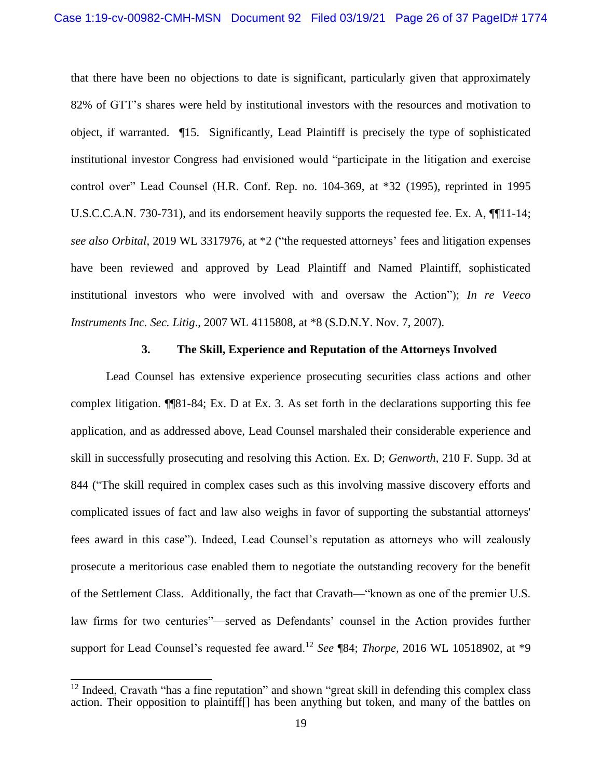that there have been no objections to date is significant, particularly given that approximately 82% of GTT's shares were held by institutional investors with the resources and motivation to object, if warranted. ¶15. Significantly, Lead Plaintiff is precisely the type of sophisticated institutional investor Congress had envisioned would "participate in the litigation and exercise control over" Lead Counsel (H.R. Conf. Rep. no. 104-369, at \*32 (1995), reprinted in 1995 U.S.C.C.A.N. 730-731), and its endorsement heavily supports the requested fee. Ex. A, ¶¶11-14; *see also Orbital*, 2019 WL 3317976, at \*2 ("the requested attorneys' fees and litigation expenses have been reviewed and approved by Lead Plaintiff and Named Plaintiff, sophisticated institutional investors who were involved with and oversaw the Action"); *In re Veeco Instruments Inc. Sec. Litig*., 2007 WL 4115808, at \*8 (S.D.N.Y. Nov. 7, 2007).

#### **3. The Skill, Experience and Reputation of the Attorneys Involved**

Lead Counsel has extensive experience prosecuting securities class actions and other complex litigation. ¶¶81-84; Ex. D at Ex. 3. As set forth in the declarations supporting this fee application, and as addressed above, Lead Counsel marshaled their considerable experience and skill in successfully prosecuting and resolving this Action. Ex. D; *Genworth*, 210 F. Supp. 3d at 844 ("The skill required in complex cases such as this involving massive discovery efforts and complicated issues of fact and law also weighs in favor of supporting the substantial attorneys' fees award in this case"). Indeed, Lead Counsel's reputation as attorneys who will zealously prosecute a meritorious case enabled them to negotiate the outstanding recovery for the benefit of the Settlement Class. Additionally, the fact that Cravath—"known as one of the premier U.S. law firms for two centuries"—served as Defendants' counsel in the Action provides further support for Lead Counsel's requested fee award.<sup>12</sup> *See* ¶84; *Thorpe*, 2016 WL 10518902, at \*9

<sup>&</sup>lt;sup>12</sup> Indeed, Cravath "has a fine reputation" and shown "great skill in defending this complex class action. Their opposition to plaintiff[] has been anything but token, and many of the battles on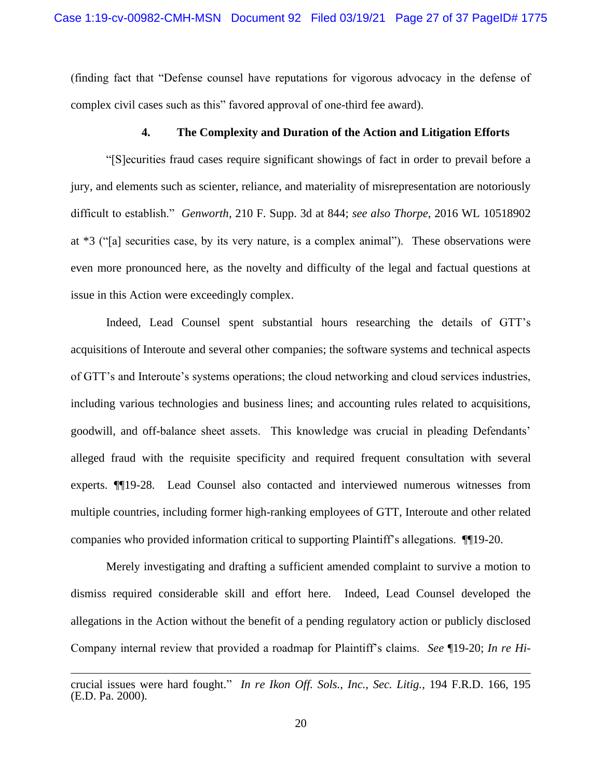(finding fact that "Defense counsel have reputations for vigorous advocacy in the defense of complex civil cases such as this" favored approval of one-third fee award).

#### **4. The Complexity and Duration of the Action and Litigation Efforts**

"[S]ecurities fraud cases require significant showings of fact in order to prevail before a jury, and elements such as scienter, reliance, and materiality of misrepresentation are notoriously difficult to establish." *Genworth*, 210 F. Supp. 3d at 844; *see also Thorpe*, 2016 WL 10518902 at \*3 ("[a] securities case, by its very nature, is a complex animal"). These observations were even more pronounced here, as the novelty and difficulty of the legal and factual questions at issue in this Action were exceedingly complex.

Indeed, Lead Counsel spent substantial hours researching the details of GTT's acquisitions of Interoute and several other companies; the software systems and technical aspects of GTT's and Interoute's systems operations; the cloud networking and cloud services industries, including various technologies and business lines; and accounting rules related to acquisitions, goodwill, and off-balance sheet assets. This knowledge was crucial in pleading Defendants' alleged fraud with the requisite specificity and required frequent consultation with several experts. ¶¶19-28. Lead Counsel also contacted and interviewed numerous witnesses from multiple countries, including former high-ranking employees of GTT, Interoute and other related companies who provided information critical to supporting Plaintiff's allegations. ¶¶19-20.

Merely investigating and drafting a sufficient amended complaint to survive a motion to dismiss required considerable skill and effort here. Indeed, Lead Counsel developed the allegations in the Action without the benefit of a pending regulatory action or publicly disclosed Company internal review that provided a roadmap for Plaintiff's claims. *See* ¶19-20; *In re Hi-*

crucial issues were hard fought." *In re Ikon Off. Sols., Inc., Sec. Litig.,* 194 F.R.D. 166, 195 (E.D. Pa. 2000).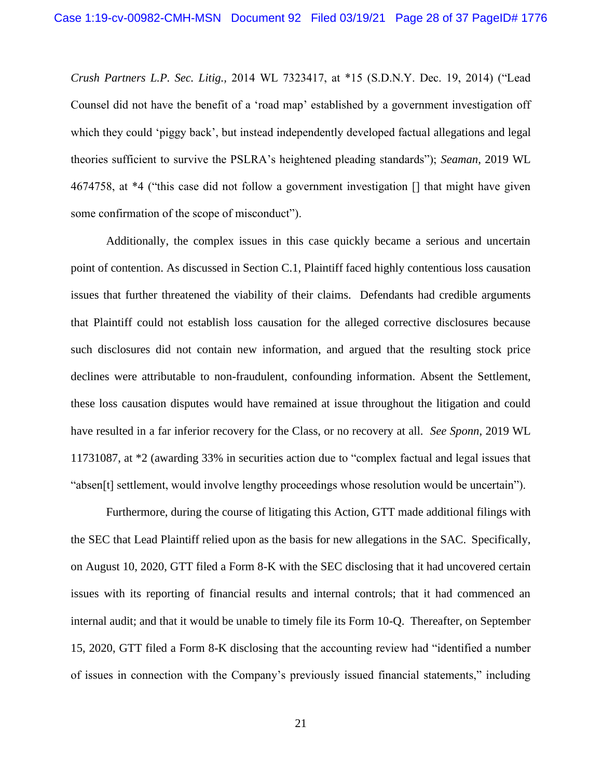*Crush Partners L.P. Sec. Litig.,* 2014 WL 7323417, at \*15 (S.D.N.Y. Dec. 19, 2014) ("Lead Counsel did not have the benefit of a 'road map' established by a government investigation off which they could 'piggy back', but instead independently developed factual allegations and legal theories sufficient to survive the PSLRA's heightened pleading standards"); *Seaman*, 2019 WL 4674758, at \*4 ("this case did not follow a government investigation [] that might have given some confirmation of the scope of misconduct").

Additionally, the complex issues in this case quickly became a serious and uncertain point of contention. As discussed in Section C.1, Plaintiff faced highly contentious loss causation issues that further threatened the viability of their claims. Defendants had credible arguments that Plaintiff could not establish loss causation for the alleged corrective disclosures because such disclosures did not contain new information, and argued that the resulting stock price declines were attributable to non-fraudulent, confounding information. Absent the Settlement, these loss causation disputes would have remained at issue throughout the litigation and could have resulted in a far inferior recovery for the Class, or no recovery at all. *See Sponn,* 2019 WL 11731087, at \*2 (awarding 33% in securities action due to "complex factual and legal issues that "absen[t] settlement, would involve lengthy proceedings whose resolution would be uncertain").

Furthermore, during the course of litigating this Action, GTT made additional filings with the SEC that Lead Plaintiff relied upon as the basis for new allegations in the SAC. Specifically, on August 10, 2020, GTT filed a Form 8-K with the SEC disclosing that it had uncovered certain issues with its reporting of financial results and internal controls; that it had commenced an internal audit; and that it would be unable to timely file its Form 10-Q. Thereafter, on September 15, 2020, GTT filed a Form 8-K disclosing that the accounting review had "identified a number of issues in connection with the Company's previously issued financial statements," including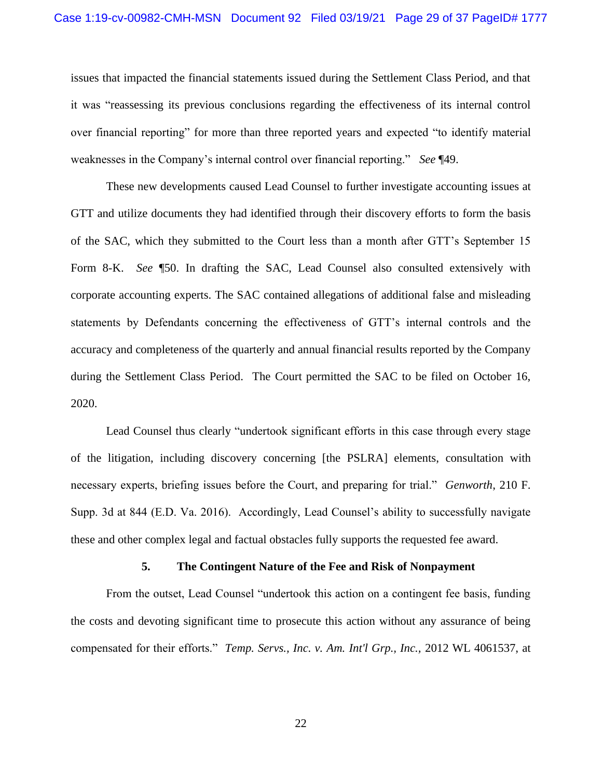issues that impacted the financial statements issued during the Settlement Class Period, and that it was "reassessing its previous conclusions regarding the effectiveness of its internal control over financial reporting" for more than three reported years and expected "to identify material weaknesses in the Company's internal control over financial reporting." *See* ¶49.

These new developments caused Lead Counsel to further investigate accounting issues at GTT and utilize documents they had identified through their discovery efforts to form the basis of the SAC, which they submitted to the Court less than a month after GTT's September 15 Form 8-K. *See* ¶50. In drafting the SAC, Lead Counsel also consulted extensively with corporate accounting experts. The SAC contained allegations of additional false and misleading statements by Defendants concerning the effectiveness of GTT's internal controls and the accuracy and completeness of the quarterly and annual financial results reported by the Company during the Settlement Class Period. The Court permitted the SAC to be filed on October 16, 2020.

Lead Counsel thus clearly "undertook significant efforts in this case through every stage of the litigation, including discovery concerning [the PSLRA] elements, consultation with necessary experts, briefing issues before the Court, and preparing for trial." *Genworth*, 210 F. Supp. 3d at 844 (E.D. Va. 2016). Accordingly, Lead Counsel's ability to successfully navigate these and other complex legal and factual obstacles fully supports the requested fee award.

#### **5. The Contingent Nature of the Fee and Risk of Nonpayment**

From the outset, Lead Counsel "undertook this action on a contingent fee basis, funding the costs and devoting significant time to prosecute this action without any assurance of being compensated for their efforts." *Temp. Servs., Inc. v. Am. Int'l Grp., Inc.,* 2012 WL 4061537, at

22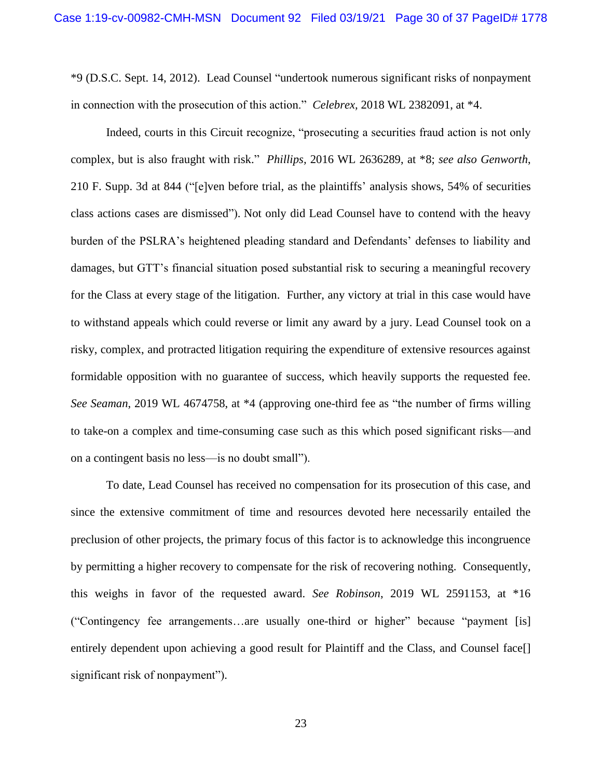\*9 (D.S.C. Sept. 14, 2012). Lead Counsel "undertook numerous significant risks of nonpayment in connection with the prosecution of this action." *Celebrex,* 2018 WL 2382091, at \*4.

Indeed, courts in this Circuit recognize, "prosecuting a securities fraud action is not only complex, but is also fraught with risk." *Phillips,* 2016 WL 2636289, at \*8; *see also Genworth*, 210 F. Supp. 3d at 844 ("[e]ven before trial, as the plaintiffs' analysis shows, 54% of securities class actions cases are dismissed"). Not only did Lead Counsel have to contend with the heavy burden of the PSLRA's heightened pleading standard and Defendants' defenses to liability and damages, but GTT's financial situation posed substantial risk to securing a meaningful recovery for the Class at every stage of the litigation. Further, any victory at trial in this case would have to withstand appeals which could reverse or limit any award by a jury. Lead Counsel took on a risky, complex, and protracted litigation requiring the expenditure of extensive resources against formidable opposition with no guarantee of success, which heavily supports the requested fee. *See Seaman*, 2019 WL 4674758, at \*4 (approving one-third fee as "the number of firms willing to take-on a complex and time-consuming case such as this which posed significant risks—and on a contingent basis no less—is no doubt small").

To date, Lead Counsel has received no compensation for its prosecution of this case, and since the extensive commitment of time and resources devoted here necessarily entailed the preclusion of other projects, the primary focus of this factor is to acknowledge this incongruence by permitting a higher recovery to compensate for the risk of recovering nothing. Consequently, this weighs in favor of the requested award. *See Robinson*, 2019 WL 2591153, at \*16 ("Contingency fee arrangements…are usually one-third or higher" because "payment [is] entirely dependent upon achieving a good result for Plaintiff and the Class, and Counsel face. significant risk of nonpayment").

23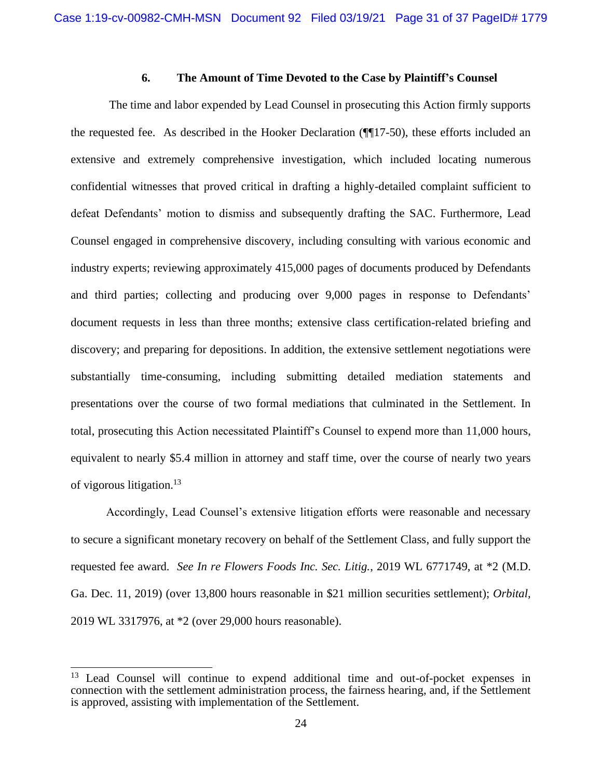### **6. The Amount of Time Devoted to the Case by Plaintiff's Counsel**

The time and labor expended by Lead Counsel in prosecuting this Action firmly supports the requested fee. As described in the Hooker Declaration (¶¶17-50), these efforts included an extensive and extremely comprehensive investigation, which included locating numerous confidential witnesses that proved critical in drafting a highly-detailed complaint sufficient to defeat Defendants' motion to dismiss and subsequently drafting the SAC. Furthermore, Lead Counsel engaged in comprehensive discovery, including consulting with various economic and industry experts; reviewing approximately 415,000 pages of documents produced by Defendants and third parties; collecting and producing over 9,000 pages in response to Defendants' document requests in less than three months; extensive class certification-related briefing and discovery; and preparing for depositions. In addition, the extensive settlement negotiations were substantially time-consuming, including submitting detailed mediation statements and presentations over the course of two formal mediations that culminated in the Settlement. In total, prosecuting this Action necessitated Plaintiff's Counsel to expend more than 11,000 hours, equivalent to nearly \$5.4 million in attorney and staff time, over the course of nearly two years of vigorous litigation.<sup>13</sup>

Accordingly, Lead Counsel's extensive litigation efforts were reasonable and necessary to secure a significant monetary recovery on behalf of the Settlement Class, and fully support the requested fee award. *See In re Flowers Foods Inc. Sec. Litig.*, 2019 WL 6771749, at \*2 (M.D. Ga. Dec. 11, 2019) (over 13,800 hours reasonable in \$21 million securities settlement); *Orbital,* 2019 WL 3317976, at \*2 (over 29,000 hours reasonable).

<sup>&</sup>lt;sup>13</sup> Lead Counsel will continue to expend additional time and out-of-pocket expenses in connection with the settlement administration process, the fairness hearing, and, if the Settlement is approved, assisting with implementation of the Settlement.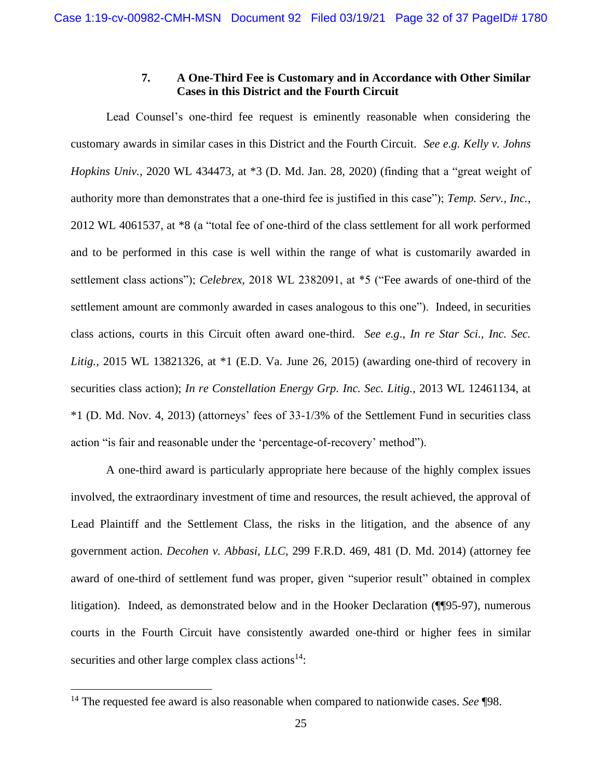### **7. A One-Third Fee is Customary and in Accordance with Other Similar Cases in this District and the Fourth Circuit**

Lead Counsel's one-third fee request is eminently reasonable when considering the customary awards in similar cases in this District and the Fourth Circuit. *See e.g. Kelly v. Johns Hopkins Univ.,* 2020 WL 434473, at \*3 (D. Md. Jan. 28, 2020) (finding that a "great weight of authority more than demonstrates that a one-third fee is justified in this case"); *Temp. Serv., Inc.*, 2012 WL 4061537, at \*8 (a "total fee of one-third of the class settlement for all work performed and to be performed in this case is well within the range of what is customarily awarded in settlement class actions"); *Celebrex,* 2018 WL 2382091, at \*5 ("Fee awards of one-third of the settlement amount are commonly awarded in cases analogous to this one"). Indeed, in securities class actions, courts in this Circuit often award one-third. *See e.g*., *In re Star Sci., Inc. Sec. Litig.,* 2015 WL 13821326, at \*1 (E.D. Va. June 26, 2015) (awarding one-third of recovery in securities class action); *In re Constellation Energy Grp. Inc. Sec. Litig.,* 2013 WL 12461134, at \*1 (D. Md. Nov. 4, 2013) (attorneys' fees of 33-1/3% of the Settlement Fund in securities class action "is fair and reasonable under the 'percentage-of-recovery' method").

A one-third award is particularly appropriate here because of the highly complex issues involved, the extraordinary investment of time and resources, the result achieved, the approval of Lead Plaintiff and the Settlement Class, the risks in the litigation, and the absence of any government action. *Decohen v. Abbasi, LLC*, 299 F.R.D. 469, 481 (D. Md. 2014) (attorney fee award of one-third of settlement fund was proper, given "superior result" obtained in complex litigation). Indeed, as demonstrated below and in the Hooker Declaration (¶¶95-97), numerous courts in the Fourth Circuit have consistently awarded one-third or higher fees in similar securities and other large complex class actions $14$ :

<sup>14</sup> The requested fee award is also reasonable when compared to nationwide cases. *See* ¶98.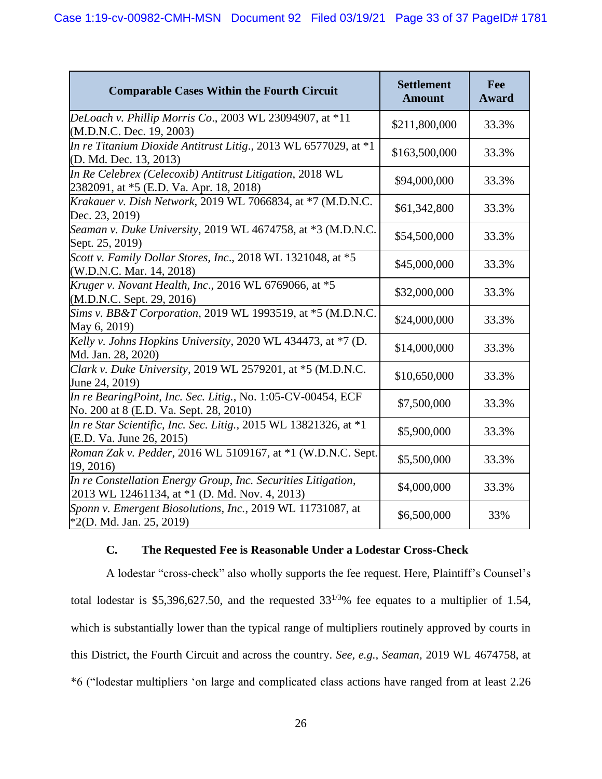| <b>Comparable Cases Within the Fourth Circuit</b>                                                              | <b>Settlement</b><br><b>Amount</b> | Fee<br><b>Award</b> |
|----------------------------------------------------------------------------------------------------------------|------------------------------------|---------------------|
| DeLoach v. Phillip Morris Co., 2003 WL 23094907, at *11<br>(M.D.N.C. Dec. 19, 2003)                            | \$211,800,000                      | 33.3%               |
| In re Titanium Dioxide Antitrust Litig., 2013 WL 6577029, at *1<br>(D. Md. Dec. 13, 2013)                      | \$163,500,000                      | 33.3%               |
| In Re Celebrex (Celecoxib) Antitrust Litigation, 2018 WL<br>2382091, at *5 (E.D. Va. Apr. 18, 2018)            | \$94,000,000                       | 33.3%               |
| Krakauer v. Dish Network, 2019 WL 7066834, at *7 (M.D.N.C.<br>Dec. 23, 2019)                                   | \$61,342,800                       | 33.3%               |
| Seaman v. Duke University, 2019 WL 4674758, at *3 (M.D.N.C.<br>Sept. 25, 2019)                                 | \$54,500,000                       | 33.3%               |
| Scott v. Family Dollar Stores, Inc., 2018 WL 1321048, at *5<br>(W.D.N.C. Mar. 14, 2018)                        | \$45,000,000                       | 33.3%               |
| Kruger v. Novant Health, Inc., 2016 WL 6769066, at *5<br>(M.D.N.C. Sept. 29, 2016)                             | \$32,000,000                       | 33.3%               |
| Sims v. BB&T Corporation, 2019 WL 1993519, at *5 (M.D.N.C.<br>May 6, 2019)                                     | \$24,000,000                       | 33.3%               |
| Kelly v. Johns Hopkins University, 2020 WL 434473, at $\overline{57}$ (D.<br>Md. Jan. 28, 2020)                | \$14,000,000                       | 33.3%               |
| Clark v. Duke University, 2019 WL 2579201, at *5 (M.D.N.C.<br>June 24, 2019)                                   | \$10,650,000                       | 33.3%               |
| In re BearingPoint, Inc. Sec. Litig., No. 1:05-CV-00454, ECF<br>No. 200 at 8 (E.D. Va. Sept. 28, 2010)         | \$7,500,000                        | 33.3%               |
| In re Star Scientific, Inc. Sec. Litig., 2015 WL 13821326, at $*1$<br>(E.D. Va. June 26, 2015)                 | \$5,900,000                        | 33.3%               |
| Roman Zak v. Pedder, 2016 WL 5109167, at *1 (W.D.N.C. Sept.<br>19, 2016)                                       | \$5,500,000                        | 33.3%               |
| In re Constellation Energy Group, Inc. Securities Litigation,<br>2013 WL 12461134, at *1 (D. Md. Nov. 4, 2013) | \$4,000,000                        | 33.3%               |
| Sponn v. Emergent Biosolutions, Inc., 2019 WL 11731087, at<br>$*2(D. Md. Jan. 25, 2019)$                       | \$6,500,000                        | 33%                 |

## **C. The Requested Fee is Reasonable Under a Lodestar Cross-Check**

A lodestar "cross-check" also wholly supports the fee request. Here, Plaintiff's Counsel's total lodestar is \$5,396,627.50, and the requested  $33^{1/3}\%$  fee equates to a multiplier of 1.54, which is substantially lower than the typical range of multipliers routinely approved by courts in this District, the Fourth Circuit and across the country. *See, e.g., Seaman,* 2019 WL 4674758, at \*6 ("lodestar multipliers 'on large and complicated class actions have ranged from at least 2.26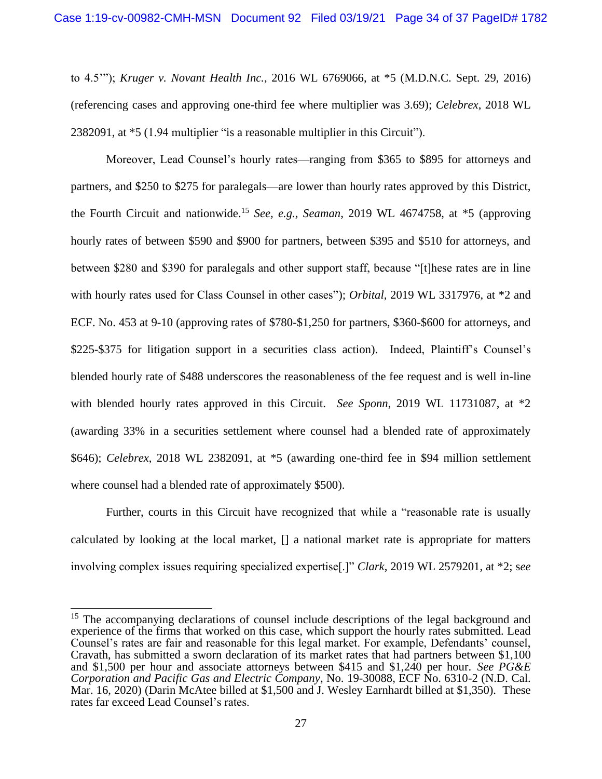to 4.5'"); *Kruger v. Novant Health Inc.*, 2016 WL 6769066, at \*5 (M.D.N.C. Sept. 29, 2016) (referencing cases and approving one-third fee where multiplier was 3.69); *Celebrex*, 2018 WL 2382091, at \*5 (1.94 multiplier "is a reasonable multiplier in this Circuit").

Moreover, Lead Counsel's hourly rates—ranging from \$365 to \$895 for attorneys and partners, and \$250 to \$275 for paralegals—are lower than hourly rates approved by this District, the Fourth Circuit and nationwide. <sup>15</sup> *See, e.g., Seaman*, 2019 WL 4674758, at \*5 (approving hourly rates of between \$590 and \$900 for partners, between \$395 and \$510 for attorneys, and between \$280 and \$390 for paralegals and other support staff, because "[t]hese rates are in line with hourly rates used for Class Counsel in other cases"); *Orbital,* 2019 WL 3317976, at \*2 and ECF. No. 453 at 9-10 (approving rates of \$780-\$1,250 for partners, \$360-\$600 for attorneys, and \$225-\$375 for litigation support in a securities class action). Indeed, Plaintiff's Counsel's blended hourly rate of \$488 underscores the reasonableness of the fee request and is well in-line with blended hourly rates approved in this Circuit. *See Sponn*, 2019 WL 11731087, at \*2 (awarding 33% in a securities settlement where counsel had a blended rate of approximately \$646); *Celebrex*, 2018 WL 2382091, at \*5 (awarding one-third fee in \$94 million settlement where counsel had a blended rate of approximately \$500).

Further, courts in this Circuit have recognized that while a "reasonable rate is usually calculated by looking at the local market, [] a national market rate is appropriate for matters involving complex issues requiring specialized expertise[.]" *Clark*, 2019 WL 2579201, at \*2; s*ee* 

<sup>&</sup>lt;sup>15</sup> The accompanying declarations of counsel include descriptions of the legal background and experience of the firms that worked on this case, which support the hourly rates submitted. Lead Counsel's rates are fair and reasonable for this legal market. For example, Defendants' counsel, Cravath, has submitted a sworn declaration of its market rates that had partners between \$1,100 and \$1,500 per hour and associate attorneys between \$415 and \$1,240 per hour. *See PG&E Corporation and Pacific Gas and Electric Company*, No. 19-30088, ECF No. 6310-2 (N.D. Cal. Mar. 16, 2020) (Darin McAtee billed at \$1,500 and J. Wesley Earnhardt billed at \$1,350). These rates far exceed Lead Counsel's rates.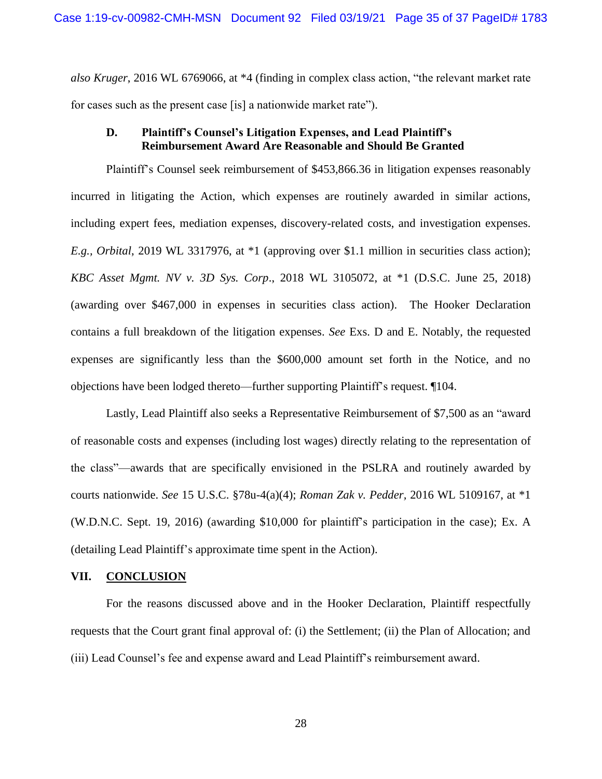*also Kruger*, 2016 WL 6769066, at \*4 (finding in complex class action, "the relevant market rate for cases such as the present case [is] a nationwide market rate").

### **D. Plaintiff's Counsel's Litigation Expenses, and Lead Plaintiff's Reimbursement Award Are Reasonable and Should Be Granted**

Plaintiff's Counsel seek reimbursement of \$453,866.36 in litigation expenses reasonably incurred in litigating the Action, which expenses are routinely awarded in similar actions, including expert fees, mediation expenses, discovery-related costs, and investigation expenses. *E.g., Orbital*, 2019 WL 3317976, at \*1 (approving over \$1.1 million in securities class action); *KBC Asset Mgmt. NV v. 3D Sys. Corp*., 2018 WL 3105072, at \*1 (D.S.C. June 25, 2018) (awarding over \$467,000 in expenses in securities class action). The Hooker Declaration contains a full breakdown of the litigation expenses. *See* Exs. D and E. Notably, the requested expenses are significantly less than the \$600,000 amount set forth in the Notice, and no objections have been lodged thereto—further supporting Plaintiff's request. ¶104.

Lastly, Lead Plaintiff also seeks a Representative Reimbursement of \$7,500 as an "award of reasonable costs and expenses (including lost wages) directly relating to the representation of the class"—awards that are specifically envisioned in the PSLRA and routinely awarded by courts nationwide. *See* 15 U.S.C. §78u-4(a)(4); *Roman Zak v. Pedder,* 2016 WL 5109167, at \*1 (W.D.N.C. Sept. 19, 2016) (awarding \$10,000 for plaintiff's participation in the case); Ex. A (detailing Lead Plaintiff's approximate time spent in the Action).

#### **VII. CONCLUSION**

For the reasons discussed above and in the Hooker Declaration, Plaintiff respectfully requests that the Court grant final approval of: (i) the Settlement; (ii) the Plan of Allocation; and (iii) Lead Counsel's fee and expense award and Lead Plaintiff's reimbursement award.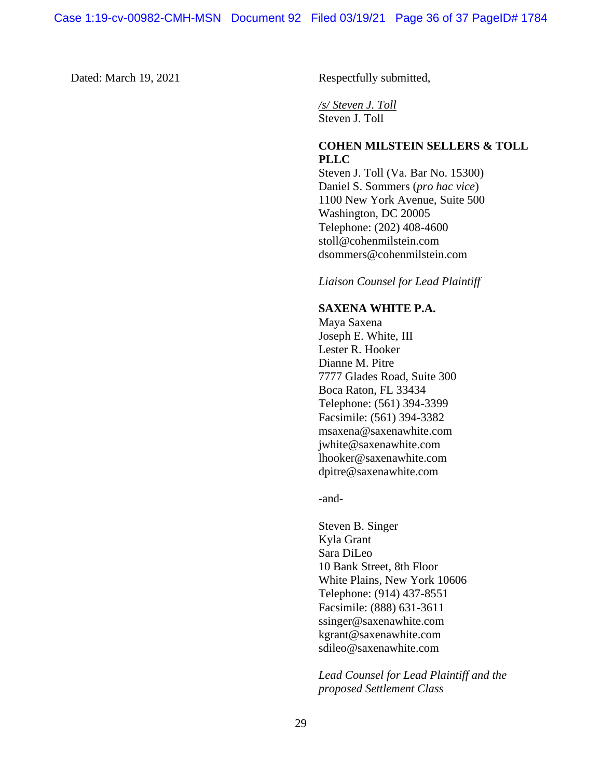Dated: March 19, 2021 Respectfully submitted,

*/s/ Steven J. Toll* Steven J. Toll

## **COHEN MILSTEIN SELLERS & TOLL PLLC**

Steven J. Toll (Va. Bar No. 15300) Daniel S. Sommers (*pro hac vice*) 1100 New York Avenue, Suite 500 Washington, DC 20005 Telephone: (202) 408-4600 stoll@cohenmilstein.com dsommers@cohenmilstein.com

*Liaison Counsel for Lead Plaintiff* 

## **SAXENA WHITE P.A.**

Maya Saxena Joseph E. White, III Lester R. Hooker Dianne M. Pitre 7777 Glades Road, Suite 300 Boca Raton, FL 33434 Telephone: (561) 394-3399 Facsimile: (561) 394-3382 msaxena@saxenawhite.com jwhite@saxenawhite.com lhooker@saxenawhite.com dpitre@saxenawhite.com

-and-

Steven B. Singer Kyla Grant Sara DiLeo 10 Bank Street, 8th Floor White Plains, New York 10606 Telephone: (914) 437-8551 Facsimile: (888) 631-3611 ssinger@saxenawhite.com kgrant@saxenawhite.com sdileo@saxenawhite.com

*Lead Counsel for Lead Plaintiff and the proposed Settlement Class*